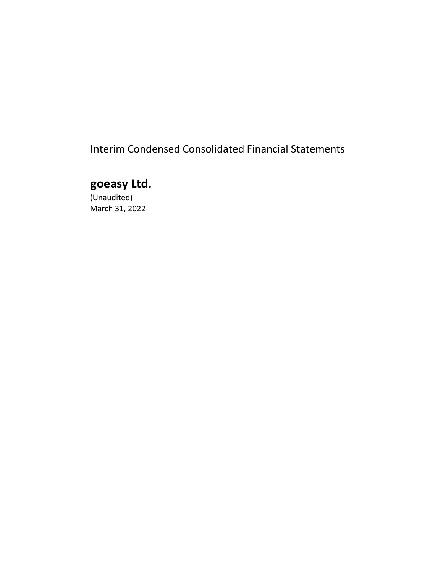Interim Condensed Consolidated Financial Statements

# **goeasy Ltd.**

(Unaudited) March 31, 2022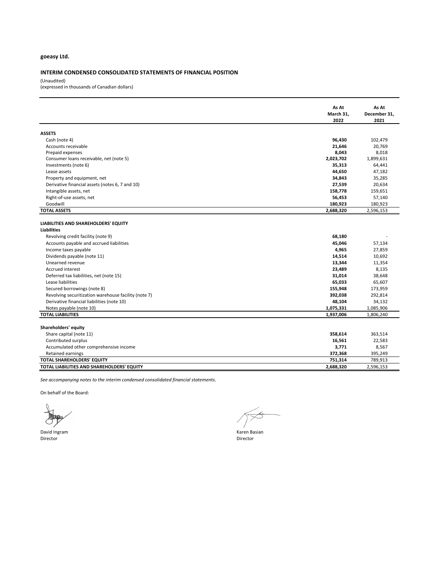#### **INTERIM CONDENSED CONSOLIDATED STATEMENTS OF FINANCIAL POSITION**

(Unaudited) (expressed in thousands of Canadian dollars)

|                                                      | As At     | As At        |
|------------------------------------------------------|-----------|--------------|
|                                                      | March 31, | December 31, |
|                                                      | 2022      | 2021         |
| <b>ASSETS</b>                                        |           |              |
| Cash (note 4)                                        | 96,430    | 102,479      |
| Accounts receivable                                  | 21,646    | 20,769       |
| Prepaid expenses                                     | 8,043     | 8,018        |
| Consumer loans receivable, net (note 5)              | 2,023,702 | 1,899,631    |
| Investments (note 6)                                 | 35,313    | 64,441       |
| Lease assets                                         | 44,650    | 47,182       |
| Property and equipment, net                          | 34,843    | 35,285       |
| Derivative financial assets (notes 6, 7 and 10)      | 27,539    | 20,634       |
| Intangible assets, net                               | 158,778   | 159,651      |
| Right-of-use assets, net                             | 56,453    | 57,140       |
| Goodwill                                             | 180,923   | 180,923      |
| <b>TOTAL ASSETS</b>                                  | 2,688,320 | 2,596,153    |
|                                                      |           |              |
| LIABILITIES AND SHAREHOLDERS' EQUITY                 |           |              |
| <b>Liabilities</b>                                   |           |              |
| Revolving credit facility (note 9)                   | 68,180    |              |
| Accounts payable and accrued liabilities             | 45,046    | 57,134       |
| Income taxes payable                                 | 4,965     | 27,859       |
| Dividends payable (note 11)                          | 14,514    | 10,692       |
| Unearned revenue                                     | 13,344    | 11,354       |
| Accrued interest                                     | 23,489    | 8,135        |
| Deferred tax liabilities, net (note 15)              | 31,014    | 38,648       |
| Lease liabilities                                    | 65,033    | 65,607       |
| Secured borrowings (note 8)                          | 155,948   | 173,959      |
| Revolving securitization warehouse facility (note 7) | 392,038   | 292,814      |
| Derivative financial liabilities (note 10)           | 48,104    | 34,132       |
| Notes payable (note 10)                              | 1,075,331 | 1,085,906    |
| <b>TOTAL LIABILITIES</b>                             | 1,937,006 | 1,806,240    |
|                                                      |           |              |
| Shareholders' equity                                 |           |              |
| Share capital (note 11)                              | 358,614   | 363,514      |
| Contributed surplus                                  | 16,561    | 22,583       |
| Accumulated other comprehensive income               | 3,771     | 8,567        |
| Retained earnings                                    | 372,368   | 395,249      |
| TOTAL SHAREHOLDERS' EQUITY                           | 751,314   | 789,913      |
| TOTAL LIABILITIES AND SHAREHOLDERS' EQUITY           | 2,688,320 | 2,596,153    |

*See accompanying notes to the interim condensed consolidated financial statements.*

On behalf of the Board:

David Ingram National Communication of the Communication of the Communication of the Communication of the Communication of the Communication of the Communication of the Communication of the Communication of the Communicati Director Director

 $\approx$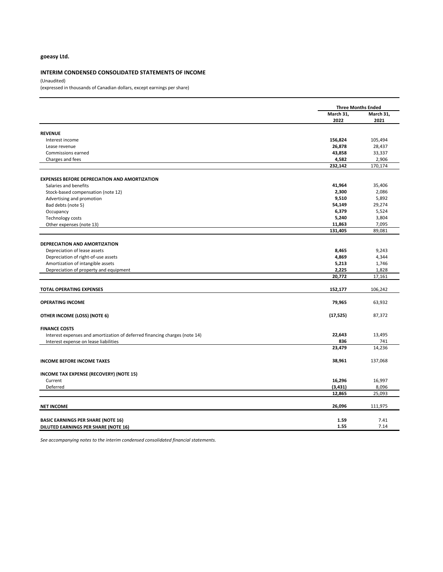#### **INTERIM CONDENSED CONSOLIDATED STATEMENTS OF INCOME**

(Unaudited)

(expressed in thousands of Canadian dollars, except earnings per share)

|                                                                                                    |                  | <b>Three Months Ended</b> |
|----------------------------------------------------------------------------------------------------|------------------|---------------------------|
|                                                                                                    | March 31,        | March 31,                 |
|                                                                                                    | 2022             | 2021                      |
|                                                                                                    |                  |                           |
| <b>REVENUE</b>                                                                                     | 156,824          | 105,494                   |
| Interest income                                                                                    | 26,878           | 28,437                    |
| Lease revenue                                                                                      |                  |                           |
| Commissions earned                                                                                 | 43,858           | 33,337                    |
| Charges and fees                                                                                   | 4,582<br>232,142 | 2,906<br>170,174          |
|                                                                                                    |                  |                           |
| <b>EXPENSES BEFORE DEPRECIATION AND AMORTIZATION</b>                                               |                  |                           |
| Salaries and benefits                                                                              | 41,964           | 35,406                    |
| Stock-based compensation (note 12)                                                                 | 2,300            | 2,086                     |
| Advertising and promotion                                                                          | 9,510            | 5,892                     |
| Bad debts (note 5)                                                                                 | 54,149           | 29,274                    |
| Occupancy                                                                                          | 6,379            | 5,524                     |
| <b>Technology costs</b>                                                                            | 5,240            | 3,804                     |
| Other expenses (note 13)                                                                           | 11,863           | 7,095                     |
|                                                                                                    | 131,405          | 89,081                    |
|                                                                                                    |                  |                           |
| DEPRECIATION AND AMORTIZATION                                                                      |                  |                           |
| Depreciation of lease assets                                                                       | 8,465            | 9,243                     |
| Depreciation of right-of-use assets                                                                | 4,869            | 4,344                     |
| Amortization of intangible assets                                                                  | 5,213            | 1,746                     |
| Depreciation of property and equipment                                                             | 2,225<br>20,772  | 1,828<br>17,161           |
|                                                                                                    |                  |                           |
| <b>TOTAL OPERATING EXPENSES</b>                                                                    | 152,177          | 106,242                   |
| <b>OPERATING INCOME</b>                                                                            | 79,965           | 63,932                    |
| OTHER INCOME (LOSS) (NOTE 6)                                                                       | (17, 525)        | 87,372                    |
|                                                                                                    |                  |                           |
| <b>FINANCE COSTS</b><br>Interest expenses and amortization of deferred financing charges (note 14) | 22,643           | 13,495                    |
| Interest expense on lease liabilities                                                              | 836              | 741                       |
|                                                                                                    | 23,479           | 14,236                    |
|                                                                                                    |                  |                           |
| <b>INCOME BEFORE INCOME TAXES</b>                                                                  | 38,961           | 137,068                   |
| INCOME TAX EXPENSE (RECOVERY) (NOTE 15)                                                            |                  |                           |
| Current                                                                                            | 16,296           | 16,997                    |
| Deferred                                                                                           | (3, 431)         | 8,096                     |
|                                                                                                    | 12,865           | 25,093                    |
| <b>NET INCOME</b>                                                                                  | 26,096           | 111,975                   |
|                                                                                                    |                  |                           |
| <b>BASIC EARNINGS PER SHARE (NOTE 16)</b>                                                          | 1.59             | 7.41                      |
| DILUTED EARNINGS PER SHARE (NOTE 16)                                                               | 1.55             | 7.14                      |

*See accompanying notes to the interim condensed consolidated financial statements.*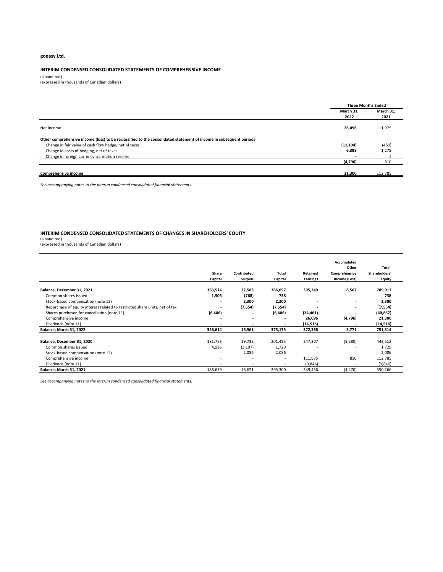#### **INTERIM CONDENSED CONSOLIDATED STATEMENTS OF COMPREHENSIVE INCOME**

(Unaudited) (expressed in thousands of Canadian dollars)

|                                                                                                                    |           | <b>Three Months Ended</b> |
|--------------------------------------------------------------------------------------------------------------------|-----------|---------------------------|
|                                                                                                                    | March 31. | March 31,                 |
|                                                                                                                    | 2022      | 2021                      |
| Net income                                                                                                         | 26,096    | 111,975                   |
| Other comprehensive income (loss) to be reclassified to the consolidated statement of income in subsequent periods |           |                           |
| Change in fair value of cash flow hedge, net of taxes                                                              | (11, 194) | (469)                     |
| Change in costs of hedging, net of taxes                                                                           | 6,398     | 1,278                     |
| Change in foreign currency translation reserve                                                                     |           |                           |
|                                                                                                                    | (4, 796)  | 810                       |
|                                                                                                                    |           |                           |
| <b>Comprehensive income</b>                                                                                        | 21,300    | 112,785                   |

*See accompanying notes to the interim condensed consolidated financial statements.*

#### **INTERIM CONDENSED CONSOLIDATED STATEMENTS OF CHANGES IN SHAREHOLDERS' EQUITY**

(Unaudited) (expressed in thousands of Canadian dollars)

| (expressed in thousands of Canadian dollars) |  |  |  |
|----------------------------------------------|--|--|--|
|                                              |  |  |  |

|                                                                             |                          |                          |                          |                          | Accumulated   |               |
|-----------------------------------------------------------------------------|--------------------------|--------------------------|--------------------------|--------------------------|---------------|---------------|
|                                                                             |                          |                          |                          |                          | Other         | Total         |
|                                                                             | Share                    | Contributed              | Total                    | Retained                 | Comprehensive | Shareholders' |
|                                                                             | Capital                  | <b>Surplus</b>           | Capital                  | Earnings                 | Income (Loss) | <b>Equity</b> |
| Balance, December 31, 2021                                                  | 363,514                  | 22,583                   | 386,097                  | 395,249                  | 8,567         | 789,913       |
| Common shares issued                                                        | 1,506                    | (768)                    | 738                      |                          |               | 738           |
| Stock-based compensation (note 12)                                          | ۰                        | 2,300                    | 2,300                    |                          |               | 2,300         |
| Repurchase of equity interest related to restricted share units, net of tax | ۰                        | (7,554)                  | (7,554)                  | ۰                        | $\sim$        | (7, 554)      |
| Shares purchased for cancellation (note 11)                                 | (6,406)                  | ٠                        | (6,406)                  | (34, 461)                |               | (40, 867)     |
| Comprehensive income                                                        |                          | ۰                        |                          | 26,096                   | (4,796)       | 21,300        |
| Dividends (note 11)                                                         | ٠                        | ۰                        | $\blacksquare$           | (14, 516)                |               | (14, 516)     |
| Balance, March 31, 2022                                                     | 358,614                  | 16,561                   | 375,175                  | 372,368                  | 3,771         | 751,314       |
|                                                                             |                          |                          |                          |                          |               |               |
| Balance, December 31, 2020                                                  | 181,753                  | 19,732                   | 201,485                  | 247,307                  | (5, 280)      | 443,512       |
| Common shares issued                                                        | 4,926                    | (3, 197)                 | 1,729                    | $\overline{\phantom{a}}$ |               | 1,729         |
| Stock-based compensation (note 12)                                          | $\overline{\phantom{a}}$ | 2,086                    | 2,086                    |                          |               | 2,086         |
| Comprehensive income                                                        | ٠                        |                          | $\overline{a}$           | 111,975                  | 810           | 112,785       |
| Dividends (note 11)                                                         | $\overline{\phantom{a}}$ | $\overline{\phantom{a}}$ | $\overline{\phantom{a}}$ | (9,846)                  |               | (9,846)       |
| <b>Balance, March 31, 2021</b>                                              | 186,679                  | 18,621                   | 205,300                  | 349,436                  | (4, 470)      | 550,266       |

*See accompanying notes to the interim condensed consolidated financial statements.*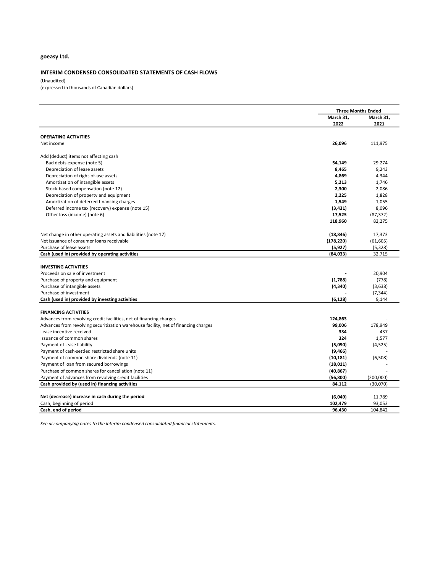#### **INTERIM CONDENSED CONSOLIDATED STATEMENTS OF CASH FLOWS**

(Unaudited)

(expressed in thousands of Canadian dollars)

|                                                                                     | <b>Three Months Ended</b> |                       |
|-------------------------------------------------------------------------------------|---------------------------|-----------------------|
|                                                                                     | March 31,                 | March 31,             |
|                                                                                     | 2022                      | 2021                  |
| <b>OPERATING ACTIVITIES</b>                                                         |                           |                       |
| Net income                                                                          | 26,096                    | 111,975               |
|                                                                                     |                           |                       |
| Add (deduct) items not affecting cash                                               |                           |                       |
| Bad debts expense (note 5)                                                          | 54,149                    | 29,274                |
| Depreciation of lease assets                                                        | 8,465                     | 9,243                 |
| Depreciation of right-of-use assets                                                 | 4,869                     | 4,344                 |
| Amortization of intangible assets                                                   | 5,213                     | 1,746                 |
| Stock-based compensation (note 12)                                                  | 2,300                     | 2,086                 |
| Depreciation of property and equipment                                              | 2,225                     | 1,828                 |
| Amortization of deferred financing charges                                          | 1,549                     | 1,055                 |
| Deferred income tax (recovery) expense (note 15)                                    | (3, 431)                  | 8,096                 |
| Other loss (income) (note 6)                                                        | 17,525                    | (87, 372)             |
|                                                                                     | 118,960                   | 82,275                |
| Net change in other operating assets and liabilities (note 17)                      | (18, 846)                 | 17,373                |
| Net issuance of consumer loans receivable                                           | (178, 220)                | (61, 605)             |
| Purchase of lease assets                                                            | (5, 927)                  | (5, 328)              |
| Cash (used in) provided by operating activities                                     | (84,033)                  | 32,715                |
|                                                                                     |                           |                       |
| <b>INVESTING ACTIVITIES</b>                                                         |                           |                       |
| Proceeds on sale of investment<br>Purchase of property and equipment                | (1,788)                   | 20,904<br>(778)       |
| Purchase of intangible assets                                                       | (4, 340)                  | (3,638)               |
| Purchase of investment                                                              |                           | (7, 344)              |
| Cash (used in) provided by investing activities                                     | (6, 128)                  | 9,144                 |
|                                                                                     |                           |                       |
| <b>FINANCING ACTIVITIES</b>                                                         |                           |                       |
| Advances from revolving credit facilities, net of financing charges                 | 124,863                   |                       |
| Advances from revolving securitization warehouse facility, net of financing charges | 99,006                    | 178,949               |
| Lease incentive received                                                            | 334                       | 437                   |
| Issuance of common shares                                                           | 324                       | 1,577                 |
| Payment of lease liability                                                          | (5,090)                   | (4,525)               |
| Payment of cash-settled restricted share units                                      | (9, 466)                  |                       |
| Payment of common share dividends (note 11)                                         | (10, 181)                 | (6,508)               |
| Payment of loan from secured borrowings                                             | (18,011)                  |                       |
| Purchase of common shares for cancellation (note 11)                                | (40, 867)                 |                       |
| Payment of advances from revolving credit facilities                                | (56, 800)                 | (200,000)<br>(30,070) |
| Cash provided by (used in) financing activities                                     | 84,112                    |                       |
| Net (decrease) increase in cash during the period                                   | (6,049)                   | 11,789                |
| Cash, beginning of period                                                           | 102,479                   | 93,053                |
| Cash, end of period                                                                 | 96,430                    | 104,842               |

*See accompanying notes to the interim condensed consolidated financial statements.*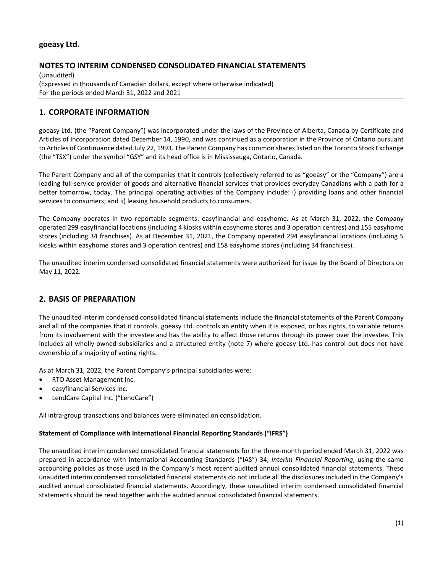# **NOTES TO INTERIM CONDENSED CONSOLIDATED FINANCIAL STATEMENTS**

(Unaudited) (Expressed in thousands of Canadian dollars, except where otherwise indicated) For the periods ended March 31, 2022 and 2021

# **1. CORPORATE INFORMATION**

goeasy Ltd. (the "Parent Company") was incorporated under the laws of the Province of Alberta, Canada by Certificate and Articles of Incorporation dated December 14, 1990, and was continued as a corporation in the Province of Ontario pursuant to Articles of Continuance dated July 22, 1993. The Parent Company has common shares listed on the Toronto Stock Exchange (the "TSX") under the symbol "GSY" and its head office is in Mississauga, Ontario, Canada.

The Parent Company and all of the companies that it controls (collectively referred to as "goeasy" or the "Company") are a leading full-service provider of goods and alternative financial services that provides everyday Canadians with a path for a better tomorrow, today. The principal operating activities of the Company include: i) providing loans and other financial services to consumers; and ii) leasing household products to consumers.

The Company operates in two reportable segments: easyfinancial and easyhome. As at March 31, 2022, the Company operated 299 easyfinancial locations (including 4 kiosks within easyhome stores and 3 operation centres) and 155 easyhome stores (including 34 franchises). As at December 31, 2021, the Company operated 294 easyfinancial locations (including 5 kiosks within easyhome stores and 3 operation centres) and 158 easyhome stores (including 34 franchises).

The unaudited interim condensed consolidated financial statements were authorized for issue by the Board of Directors on May 11, 2022.

# **2. BASIS OF PREPARATION**

The unaudited interim condensed consolidated financial statements include the financial statements of the Parent Company and all of the companies that it controls. goeasy Ltd. controls an entity when it is exposed, or has rights, to variable returns from its involvement with the investee and has the ability to affect those returns through its power over the investee. This includes all wholly-owned subsidiaries and a structured entity (note 7) where goeasy Ltd. has control but does not have ownership of a majority of voting rights.

As at March 31, 2022, the Parent Company's principal subsidiaries were:

- RTO Asset Management Inc.
- easyfinancial Services Inc.
- LendCare Capital Inc. ("LendCare")

All intra-group transactions and balances were eliminated on consolidation.

#### **Statement of Compliance with International Financial Reporting Standards ("IFRS")**

The unaudited interim condensed consolidated financial statements for the three-month period ended March 31, 2022 was prepared in accordance with International Accounting Standards ("IAS") 34, *Interim Financial Reporting*, using the same accounting policies as those used in the Company's most recent audited annual consolidated financial statements. These unaudited interim condensed consolidated financial statements do not include all the disclosures included in the Company's audited annual consolidated financial statements. Accordingly, these unaudited interim condensed consolidated financial statements should be read together with the audited annual consolidated financial statements.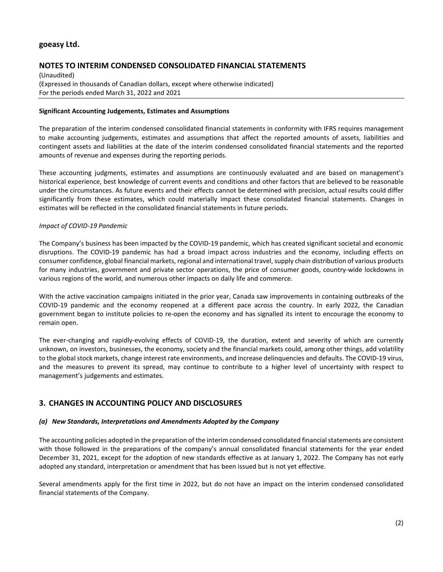# **NOTES TO INTERIM CONDENSED CONSOLIDATED FINANCIAL STATEMENTS**

(Unaudited) (Expressed in thousands of Canadian dollars, except where otherwise indicated) For the periods ended March 31, 2022 and 2021

#### **Significant Accounting Judgements, Estimates and Assumptions**

The preparation of the interim condensed consolidated financial statements in conformity with IFRS requires management to make accounting judgements, estimates and assumptions that affect the reported amounts of assets, liabilities and contingent assets and liabilities at the date of the interim condensed consolidated financial statements and the reported amounts of revenue and expenses during the reporting periods.

These accounting judgments, estimates and assumptions are continuously evaluated and are based on management's historical experience, best knowledge of current events and conditions and other factors that are believed to be reasonable under the circumstances. As future events and their effects cannot be determined with precision, actual results could differ significantly from these estimates, which could materially impact these consolidated financial statements. Changes in estimates will be reflected in the consolidated financial statements in future periods.

### *Impact of COVID-19 Pandemic*

The Company's business has been impacted by the COVID-19 pandemic, which has created significant societal and economic disruptions. The COVID-19 pandemic has had a broad impact across industries and the economy, including effects on consumer confidence, global financial markets, regional and international travel, supply chain distribution of various products for many industries, government and private sector operations, the price of consumer goods, country-wide lockdowns in various regions of the world, and numerous other impacts on daily life and commerce.

With the active vaccination campaigns initiated in the prior year, Canada saw improvements in containing outbreaks of the COVID-19 pandemic and the economy reopened at a different pace across the country. In early 2022, the Canadian government began to institute policies to re-open the economy and has signalled its intent to encourage the economy to remain open.

The ever-changing and rapidly-evolving effects of COVID-19, the duration, extent and severity of which are currently unknown, on investors, businesses, the economy, society and the financial markets could, among other things, add volatility to the global stock markets, change interest rate environments, and increase delinquencies and defaults. The COVID-19 virus, and the measures to prevent its spread, may continue to contribute to a higher level of uncertainty with respect to management's judgements and estimates.

# **3. CHANGES IN ACCOUNTING POLICY AND DISCLOSURES**

### *(a) New Standards, Interpretations and Amendments Adopted by the Company*

The accounting policies adopted in the preparation of the interim condensed consolidated financial statements are consistent with those followed in the preparations of the company's annual consolidated financial statements for the year ended December 31, 2021, except for the adoption of new standards effective as at January 1, 2022. The Company has not early adopted any standard, interpretation or amendment that has been issued but is not yet effective.

Several amendments apply for the first time in 2022, but do not have an impact on the interim condensed consolidated financial statements of the Company.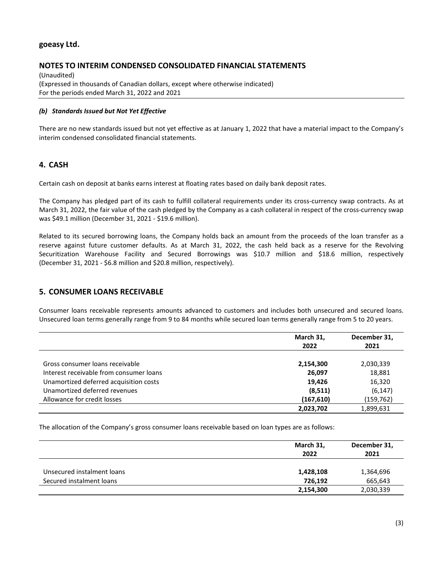### **NOTES TO INTERIM CONDENSED CONSOLIDATED FINANCIAL STATEMENTS**

(Unaudited) (Expressed in thousands of Canadian dollars, except where otherwise indicated) For the periods ended March 31, 2022 and 2021

#### *(b) Standards Issued but Not Yet Effective*

There are no new standards issued but not yet effective as at January 1, 2022 that have a material impact to the Company's interim condensed consolidated financial statements.

# **4. CASH**

Certain cash on deposit at banks earns interest at floating rates based on daily bank deposit rates.

The Company has pledged part of its cash to fulfill collateral requirements under its cross-currency swap contracts. As at March 31, 2022, the fair value of the cash pledged by the Company as a cash collateral in respect of the cross-currency swap was \$49.1 million (December 31, 2021 - \$19.6 million).

Related to its secured borrowing loans, the Company holds back an amount from the proceeds of the loan transfer as a reserve against future customer defaults. As at March 31, 2022, the cash held back as a reserve for the Revolving Securitization Warehouse Facility and Secured Borrowings was \$10.7 million and \$18.6 million, respectively (December 31, 2021 - \$6.8 million and \$20.8 million, respectively).

### **5. CONSUMER LOANS RECEIVABLE**

Consumer loans receivable represents amounts advanced to customers and includes both unsecured and secured loans. Unsecured loan terms generally range from 9 to 84 months while secured loan terms generally range from 5 to 20 years.

|                                         | March 31,<br>2022 | December 31,<br>2021 |
|-----------------------------------------|-------------------|----------------------|
| Gross consumer loans receivable         | 2,154,300         | 2,030,339            |
| Interest receivable from consumer loans | 26,097            | 18,881               |
| Unamortized deferred acquisition costs  | 19.426            | 16,320               |
| Unamortized deferred revenues           | (8,511)           | (6, 147)             |
| Allowance for credit losses             | (167, 610)        | (159,762)            |
|                                         | 2,023,702         | 1,899,631            |

The allocation of the Company's gross consumer loans receivable based on loan types are as follows:

|                            | March 31,<br>2022 | December 31,<br>2021 |
|----------------------------|-------------------|----------------------|
| Unsecured instalment loans | 1,428,108         | 1,364,696            |
| Secured instalment loans   | 726.192           | 665,643              |
|                            | 2,154,300         | 2,030,339            |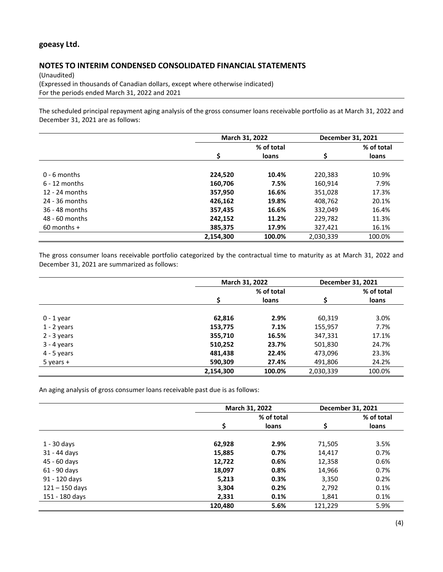# **NOTES TO INTERIM CONDENSED CONSOLIDATED FINANCIAL STATEMENTS**

(Unaudited) (Expressed in thousands of Canadian dollars, except where otherwise indicated) For the periods ended March 31, 2022 and 2021

The scheduled principal repayment aging analysis of the gross consumer loans receivable portfolio as at March 31, 2022 and December 31, 2021 are as follows:

|                  |           | March 31, 2022 |           | December 31, 2021 |
|------------------|-----------|----------------|-----------|-------------------|
|                  |           | % of total     |           | % of total        |
|                  | \$        | <b>loans</b>   | \$        | loans             |
| $0 - 6$ months   | 224,520   | 10.4%          | 220,383   | 10.9%             |
| $6 - 12$ months  | 160,706   | 7.5%           | 160,914   | 7.9%              |
| $12 - 24$ months | 357,950   | 16.6%          | 351,028   | 17.3%             |
| 24 - 36 months   | 426,162   | 19.8%          | 408,762   | 20.1%             |
| 36 - 48 months   | 357,435   | 16.6%          | 332,049   | 16.4%             |
| 48 - 60 months   | 242,152   | 11.2%          | 229,782   | 11.3%             |
| $60$ months +    | 385,375   | 17.9%          | 327,421   | 16.1%             |
|                  | 2,154,300 | 100.0%         | 2,030,339 | 100.0%            |

The gross consumer loans receivable portfolio categorized by the contractual time to maturity as at March 31, 2022 and December 31, 2021 are summarized as follows:

|               |           | March 31, 2022 |           |            |
|---------------|-----------|----------------|-----------|------------|
|               |           | % of total     |           | % of total |
|               | \$        | loans          | \$        | loans      |
| $0 - 1$ year  | 62,816    | 2.9%           | 60,319    | 3.0%       |
| $1 - 2$ years | 153,775   | 7.1%           | 155,957   | 7.7%       |
| $2 - 3$ years | 355,710   | 16.5%          | 347,331   | 17.1%      |
| $3 - 4$ years | 510,252   | 23.7%          | 501,830   | 24.7%      |
| $4 - 5$ years | 481,438   | 22.4%          | 473,096   | 23.3%      |
| $5$ years $+$ | 590,309   | 27.4%          | 491,806   | 24.2%      |
|               | 2,154,300 | 100.0%         | 2,030,339 | 100.0%     |

An aging analysis of gross consumer loans receivable past due is as follows:

|                  | March 31, 2022 | December 31, 2021 |         |            |
|------------------|----------------|-------------------|---------|------------|
|                  |                | % of total        |         | % of total |
|                  | Ś              | loans             | Ŝ       | loans      |
| $1 - 30$ days    | 62,928         | 2.9%              | 71,505  | 3.5%       |
| 31 - 44 days     | 15,885         | 0.7%              | 14,417  | 0.7%       |
| 45 - 60 days     | 12,722         | 0.6%              | 12,358  | 0.6%       |
| 61 - 90 days     | 18,097         | 0.8%              | 14,966  | 0.7%       |
| 91 - 120 days    | 5,213          | 0.3%              | 3,350   | 0.2%       |
| $121 - 150$ days | 3,304          | 0.2%              | 2,792   | 0.1%       |
| 151 - 180 days   | 2,331          | 0.1%              | 1,841   | 0.1%       |
|                  | 120,480        | 5.6%              | 121,229 | 5.9%       |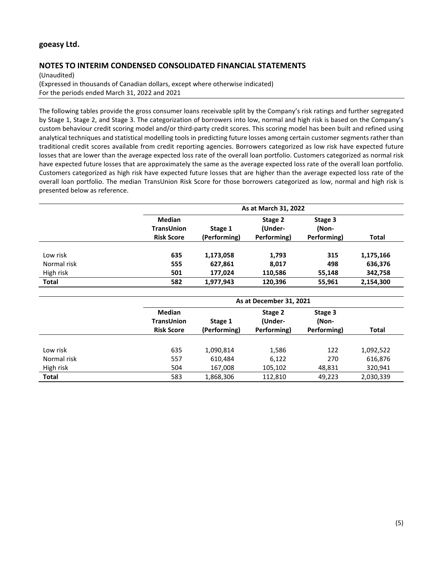# **NOTES TO INTERIM CONDENSED CONSOLIDATED FINANCIAL STATEMENTS**

(Unaudited)

(Expressed in thousands of Canadian dollars, except where otherwise indicated) For the periods ended March 31, 2022 and 2021

The following tables provide the gross consumer loans receivable split by the Company's risk ratings and further segregated by Stage 1, Stage 2, and Stage 3. The categorization of borrowers into low, normal and high risk is based on the Company's custom behaviour credit scoring model and/or third-party credit scores. This scoring model has been built and refined using analytical techniques and statistical modelling tools in predicting future losses among certain customer segments rather than traditional credit scores available from credit reporting agencies. Borrowers categorized as low risk have expected future losses that are lower than the average expected loss rate of the overall loan portfolio. Customers categorized as normal risk have expected future losses that are approximately the same as the average expected loss rate of the overall loan portfolio. Customers categorized as high risk have expected future losses that are higher than the average expected loss rate of the overall loan portfolio. The median TransUnion Risk Score for those borrowers categorized as low, normal and high risk is presented below as reference.

|              | As at March 31, 2022                                    |                         |                                   |                                 |              |
|--------------|---------------------------------------------------------|-------------------------|-----------------------------------|---------------------------------|--------------|
|              | <b>Median</b><br><b>TransUnion</b><br><b>Risk Score</b> | Stage 1<br>(Performing) | Stage 2<br>(Under-<br>Performing) | Stage 3<br>(Non-<br>Performing) | <b>Total</b> |
|              |                                                         |                         |                                   |                                 |              |
| Low risk     | 635                                                     | 1,173,058               | 1,793                             | 315                             | 1,175,166    |
| Normal risk  | 555                                                     | 627,861                 | 8,017                             | 498                             | 636,376      |
| High risk    | 501                                                     | 177,024                 | 110,586                           | 55,148                          | 342,758      |
| <b>Total</b> | 582                                                     | 1,977,943               | 120,396                           | 55,961                          | 2,154,300    |

|              | As at December 31, 2021                                 |                         |                                   |                                 |           |  |
|--------------|---------------------------------------------------------|-------------------------|-----------------------------------|---------------------------------|-----------|--|
|              | <b>Median</b><br><b>TransUnion</b><br><b>Risk Score</b> | Stage 1<br>(Performing) | Stage 2<br>(Under-<br>Performing) | Stage 3<br>(Non-<br>Performing) | Total     |  |
|              |                                                         |                         |                                   |                                 |           |  |
| Low risk     | 635                                                     | 1,090,814               | 1,586                             | 122                             | 1,092,522 |  |
| Normal risk  | 557                                                     | 610,484                 | 6,122                             | 270                             | 616,876   |  |
| High risk    | 504                                                     | 167,008                 | 105,102                           | 48,831                          | 320,941   |  |
| <b>Total</b> | 583                                                     | 1,868,306               | 112.810                           | 49,223                          | 2,030,339 |  |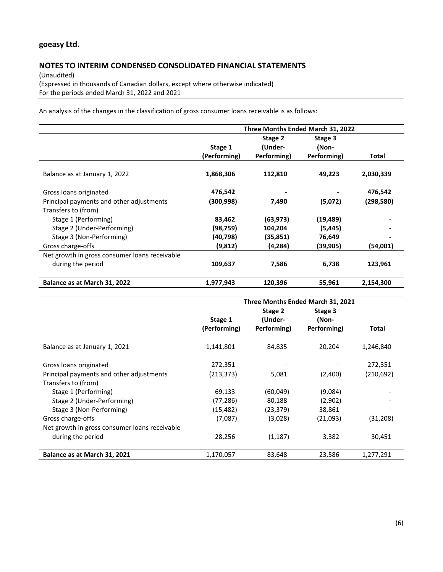# **NOTES TO INTERIM CONDENSED CONSOLIDATED FINANCIAL STATEMENTS**

(Unaudited) (Expressed in thousands of Canadian dollars, except where otherwise indicated) For the periods ended March 31, 2022 and 2021

An analysis of the changes in the classification of gross consumer loans receivable is as follows:

|                                               | Three Months Ended March 31, 2022 |                                   |                                 |           |  |
|-----------------------------------------------|-----------------------------------|-----------------------------------|---------------------------------|-----------|--|
|                                               | Stage 1<br>(Performing)           | Stage 2<br>(Under-<br>Performing) | Stage 3<br>(Non-<br>Performing) | Total     |  |
| Balance as at January 1, 2022                 | 1,868,306                         | 112,810                           | 49,223                          | 2,030,339 |  |
| Gross loans originated                        | 476,542                           |                                   |                                 | 476,542   |  |
| Principal payments and other adjustments      | (300, 998)                        | 7,490                             | (5,072)                         | (298,580) |  |
| Transfers to (from)                           |                                   |                                   |                                 |           |  |
| Stage 1 (Performing)                          | 83,462                            | (63, 973)                         | (19, 489)                       |           |  |
| Stage 2 (Under-Performing)                    | (98,759)                          | 104,204                           | (5, 445)                        |           |  |
| Stage 3 (Non-Performing)                      | (40,798)                          | (35, 851)                         | 76,649                          |           |  |
| Gross charge-offs                             | (9,812)                           | (4, 284)                          | (39, 905)                       | (54,001)  |  |
| Net growth in gross consumer loans receivable |                                   |                                   |                                 |           |  |
| during the period                             | 109,637                           | 7,586                             | 6,738                           | 123,961   |  |
| Balance as at March 31, 2022                  | 1,977,943                         | 120,396                           | 55,961                          | 2,154,300 |  |

|                                               | Three Months Ended March 31, 2021 |             |             |            |
|-----------------------------------------------|-----------------------------------|-------------|-------------|------------|
|                                               |                                   |             |             |            |
|                                               | Stage 1                           | (Under-     | (Non-       |            |
|                                               | (Performing)                      | Performing) | Performing) | Total      |
| Balance as at January 1, 2021                 | 1,141,801                         | 84,835      | 20,204      | 1,246,840  |
| Gross loans originated                        | 272,351                           |             |             | 272,351    |
| Principal payments and other adjustments      | (213, 373)                        | 5,081       | (2,400)     | (210, 692) |
| Transfers to (from)                           |                                   |             |             |            |
| Stage 1 (Performing)                          | 69,133                            | (60, 049)   | (9,084)     |            |
| Stage 2 (Under-Performing)                    | (77, 286)                         | 80,188      | (2,902)     |            |
| Stage 3 (Non-Performing)                      | (15,482)                          | (23,379)    | 38,861      |            |
| Gross charge-offs                             | (7,087)                           | (3,028)     | (21,093)    | (31,208)   |
| Net growth in gross consumer loans receivable |                                   |             |             |            |
| during the period                             | 28,256                            | (1, 187)    | 3,382       | 30,451     |
| Balance as at March 31, 2021                  | 1,170,057                         | 83,648      | 23,586      | 1,277,291  |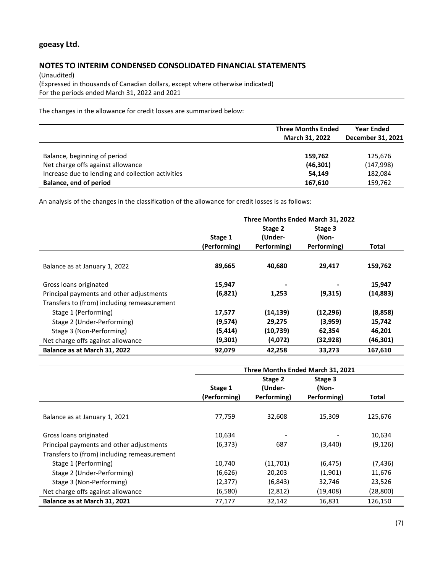# **NOTES TO INTERIM CONDENSED CONSOLIDATED FINANCIAL STATEMENTS**

(Unaudited) (Expressed in thousands of Canadian dollars, except where otherwise indicated) For the periods ended March 31, 2022 and 2021

The changes in the allowance for credit losses are summarized below:

|                                                   | <b>Three Months Ended</b><br>March 31, 2022 | <b>Year Ended</b><br>December 31, 2021 |  |
|---------------------------------------------------|---------------------------------------------|----------------------------------------|--|
| Balance, beginning of period                      | 159,762                                     | 125,676                                |  |
| Net charge offs against allowance                 | (46,301)                                    | (147, 998)                             |  |
| Increase due to lending and collection activities | 54.149                                      | 182,084                                |  |
| Balance, end of period                            | 167,610                                     | 159,762                                |  |

An analysis of the changes in the classification of the allowance for credit losses is as follows:

|                                             | Three Months Ended March 31, 2022 |             |             |           |  |
|---------------------------------------------|-----------------------------------|-------------|-------------|-----------|--|
|                                             |                                   | Stage 2     | Stage 3     |           |  |
|                                             | Stage 1                           | (Under-     | (Non-       |           |  |
|                                             | (Performing)                      | Performing) | Performing) | Total     |  |
| Balance as at January 1, 2022               | 89,665                            | 40,680      | 29,417      | 159,762   |  |
| Gross loans originated                      | 15,947                            |             |             | 15,947    |  |
| Principal payments and other adjustments    | (6,821)                           | 1,253       | (9,315)     | (14, 883) |  |
| Transfers to (from) including remeasurement |                                   |             |             |           |  |
| Stage 1 (Performing)                        | 17,577                            | (14, 139)   | (12, 296)   | (8,858)   |  |
| Stage 2 (Under-Performing)                  | (9,574)                           | 29,275      | (3,959)     | 15,742    |  |
| Stage 3 (Non-Performing)                    | (5, 414)                          | (10,739)    | 62,354      | 46,201    |  |
| Net charge offs against allowance           | (9,301)                           | (4,072)     | (32, 928)   | (46, 301) |  |
| Balance as at March 31, 2022                | 92,079                            | 42,258      | 33,273      | 167,610   |  |

|                                             | Three Months Ended March 31, 2021 |                    |                  |          |  |
|---------------------------------------------|-----------------------------------|--------------------|------------------|----------|--|
|                                             | Stage 1                           | Stage 2<br>(Under- | Stage 3<br>(Non- |          |  |
|                                             | (Performing)                      | Performing)        | Performing)      | Total    |  |
| Balance as at January 1, 2021               | 77,759                            | 32,608             | 15,309           | 125,676  |  |
| Gross loans originated                      | 10,634                            |                    |                  | 10,634   |  |
| Principal payments and other adjustments    | (6, 373)                          | 687                | (3,440)          | (9, 126) |  |
| Transfers to (from) including remeasurement |                                   |                    |                  |          |  |
| Stage 1 (Performing)                        | 10,740                            | (11,701)           | (6, 475)         | (7, 436) |  |
| Stage 2 (Under-Performing)                  | (6,626)                           | 20,203             | (1,901)          | 11,676   |  |
| Stage 3 (Non-Performing)                    | (2, 377)                          | (6, 843)           | 32,746           | 23,526   |  |
| Net charge offs against allowance           | (6,580)                           | (2,812)            | (19, 408)        | (28,800) |  |
| Balance as at March 31, 2021                | 77,177                            | 32,142             | 16.831           | 126.150  |  |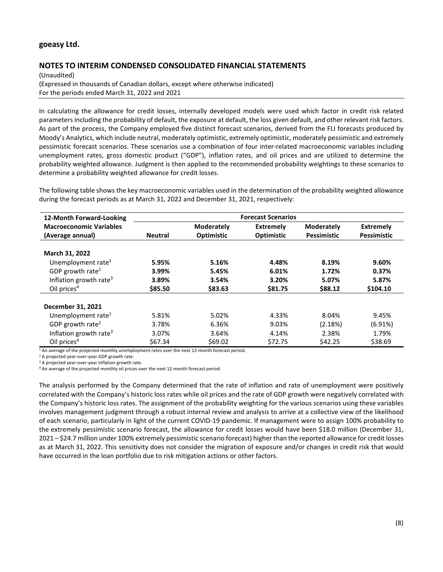# **NOTES TO INTERIM CONDENSED CONSOLIDATED FINANCIAL STATEMENTS**

(Unaudited) (Expressed in thousands of Canadian dollars, except where otherwise indicated) For the periods ended March 31, 2022 and 2021

In calculating the allowance for credit losses, internally developed models were used which factor in credit risk related parameters including the probability of default, the exposure at default, the loss given default, and other relevant risk factors. As part of the process, the Company employed five distinct forecast scenarios, derived from the FLI forecasts produced by Moody's Analytics, which include neutral, moderately optimistic, extremely optimistic, moderately pessimistic and extremely pessimistic forecast scenarios. These scenarios use a combination of four inter-related macroeconomic variables including unemployment rates, gross domestic product ("GDP"), inflation rates, and oil prices and are utilized to determine the probability weighted allowance. Judgment is then applied to the recommended probability weightings to these scenarios to determine a probability weighted allowance for credit losses.

The following table shows the key macroeconomic variables used in the determination of the probability weighted allowance during the forecast periods as at March 31, 2022 and December 31, 2021, respectively:

| 12-Month Forward-Looking           | <b>Forecast Scenarios</b> |                   |                  |                   |                    |
|------------------------------------|---------------------------|-------------------|------------------|-------------------|--------------------|
| <b>Macroeconomic Variables</b>     |                           | <b>Moderately</b> | <b>Extremely</b> | <b>Moderately</b> | <b>Extremely</b>   |
| (Average annual)                   | <b>Neutral</b>            | <b>Optimistic</b> | Optimistic       | Pessimistic       | <b>Pessimistic</b> |
|                                    |                           |                   |                  |                   |                    |
| March 31, 2022                     |                           |                   |                  |                   |                    |
| Unemployment rate <sup>1</sup>     | 5.95%                     | 5.16%             | 4.48%            | 8.19%             | 9.60%              |
| GDP growth rate <sup>2</sup>       | 3.99%                     | 5.45%             | 6.01%            | 1.72%             | 0.37%              |
| Inflation growth rate <sup>3</sup> | 3.89%                     | 3.54%             | 3.20%            | 5.07%             | 5.87%              |
| Oil prices $4$                     | \$85.50                   | \$83.63           | \$81.75          | \$88.12           | \$104.10           |
| December 31, 2021                  |                           |                   |                  |                   |                    |
| Unemployment rate <sup>1</sup>     | 5.81%                     | 5.02%             | 4.33%            | 8.04%             | 9.45%              |
| GDP growth rate <sup>2</sup>       | 3.78%                     | 6.36%             | 9.03%            | (2.18%)           | (6.91%)            |
| Inflation growth rate <sup>3</sup> | 3.07%                     | 3.64%             | 4.14%            | 2.38%             | 1.79%              |
| Oil prices $4$                     | \$67.34                   | \$69.02           | \$72.75          | \$42.25           | \$38.69            |

<sup>1</sup> An average of the projected monthly unemployment rates over the next 12-month forecast period.

<sup>2</sup> A projected year-over-year GDP growth rate.

<sup>3</sup> A projected year-over-year inflation growth rate.

<sup>4</sup> An average of the projected monthly oil prices over the next 12-month forecast period.

The analysis performed by the Company determined that the rate of inflation and rate of unemployment were positively correlated with the Company's historic loss rates while oil prices and the rate of GDP growth were negatively correlated with the Company's historic loss rates. The assignment of the probability weighting for the various scenarios using these variables involves management judgment through a robust internal review and analysis to arrive at a collective view of the likelihood of each scenario, particularly in light of the current COVID-19 pandemic. If management were to assign 100% probability to the extremely pessimistic scenario forecast, the allowance for credit losses would have been \$18.0 million (December 31, 2021 – \$24.7 million under 100% extremely pessimistic scenario forecast) higher than the reported allowance for credit losses as at March 31, 2022. This sensitivity does not consider the migration of exposure and/or changes in credit risk that would have occurred in the loan portfolio due to risk mitigation actions or other factors.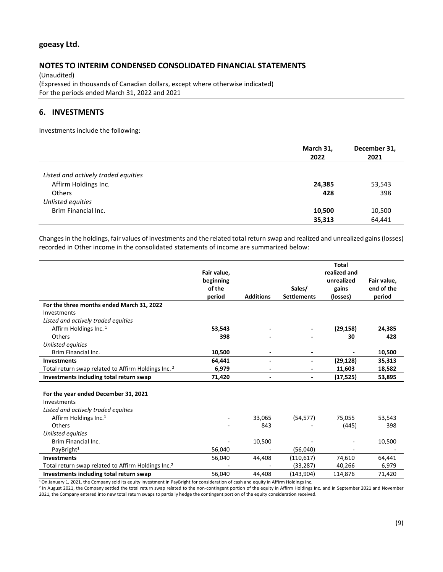### **NOTES TO INTERIM CONDENSED CONSOLIDATED FINANCIAL STATEMENTS**

(Unaudited) (Expressed in thousands of Canadian dollars, except where otherwise indicated) For the periods ended March 31, 2022 and 2021

# **6. INVESTMENTS**

Investments include the following:

|                                     | March 31,<br>2022 | December 31,<br>2021 |
|-------------------------------------|-------------------|----------------------|
|                                     |                   |                      |
| Listed and actively traded equities |                   |                      |
| Affirm Holdings Inc.                | 24,385            | 53,543               |
| <b>Others</b>                       | 428               | 398                  |
| Unlisted equities                   |                   |                      |
| Brim Financial Inc.                 | 10,500            | 10,500               |
|                                     | 35,313            | 64,441               |

Changes in the holdings, fair values of investments and the related total return swap and realized and unrealized gains (losses) recorded in Other income in the consolidated statements of income are summarized below:

|                                                                |             |                          |                    | <b>Total</b> |             |
|----------------------------------------------------------------|-------------|--------------------------|--------------------|--------------|-------------|
|                                                                | Fair value, |                          |                    | realized and |             |
|                                                                | beginning   |                          |                    | unrealized   | Fair value, |
|                                                                | of the      |                          | Sales/             | gains        | end of the  |
|                                                                | period      | <b>Additions</b>         | <b>Settlements</b> | (losses)     | period      |
| For the three months ended March 31, 2022                      |             |                          |                    |              |             |
| Investments                                                    |             |                          |                    |              |             |
| Listed and actively traded equities                            |             |                          |                    |              |             |
| Affirm Holdings Inc. 1                                         | 53,543      |                          |                    | (29, 158)    | 24,385      |
| Others                                                         | 398         |                          |                    | 30           | 428         |
| Unlisted equities                                              |             |                          |                    |              |             |
| Brim Financial Inc.                                            | 10,500      |                          |                    |              | 10,500      |
| <b>Investments</b>                                             | 64,441      | $\blacksquare$           |                    | (29, 128)    | 35,313      |
| Total return swap related to Affirm Holdings Inc. 2            | 6,979       |                          |                    | 11,603       | 18,582      |
| Investments including total return swap                        | 71,420      | $\overline{\phantom{a}}$ |                    | (17, 525)    | 53,895      |
|                                                                |             |                          |                    |              |             |
| For the year ended December 31, 2021                           |             |                          |                    |              |             |
| Investments                                                    |             |                          |                    |              |             |
| Listed and actively traded equities                            |             |                          |                    |              |             |
| Affirm Holdings Inc. <sup>1</sup>                              |             | 33,065                   | (54, 577)          | 75,055       | 53,543      |
| Others                                                         |             | 843                      |                    | (445)        | 398         |
| Unlisted equities                                              |             |                          |                    |              |             |
| Brim Financial Inc.                                            |             | 10,500                   |                    |              | 10,500      |
| PayBright $1$                                                  | 56,040      |                          | (56,040)           |              |             |
| <b>Investments</b>                                             | 56,040      | 44,408                   | (110, 617)         | 74,610       | 64,441      |
| Total return swap related to Affirm Holdings Inc. <sup>2</sup> |             |                          | (33, 287)          | 40,266       | 6,979       |
| Investments including total return swap                        | 56,040      | 44,408                   | (143, 904)         | 114,876      | 71,420      |

1 On January 1, 2021, the Company sold its equity investment in PayBright for consideration of cash and equity in Affirm Holdings Inc.

<sup>2</sup> In August 2021, the Company settled the total return swap related to the non-contingent portion of the equity in Affirm Holdings Inc. and in September 2021 and November 2021, the Company entered into new total return swaps to partially hedge the contingent portion of the equity consideration received.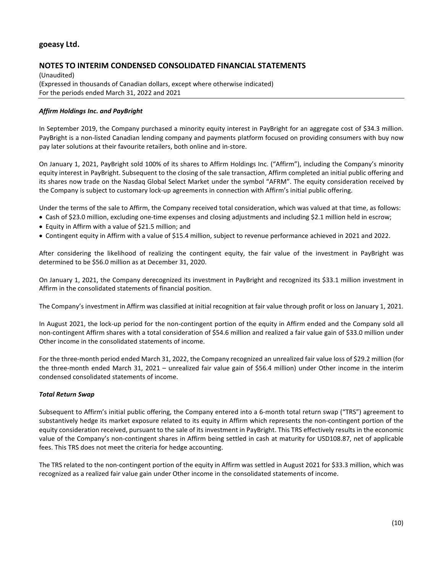# **NOTES TO INTERIM CONDENSED CONSOLIDATED FINANCIAL STATEMENTS**

(Unaudited) (Expressed in thousands of Canadian dollars, except where otherwise indicated) For the periods ended March 31, 2022 and 2021

### *Affirm Holdings Inc. and PayBright*

In September 2019, the Company purchased a minority equity interest in PayBright for an aggregate cost of \$34.3 million. PayBright is a non-listed Canadian lending company and payments platform focused on providing consumers with buy now pay later solutions at their favourite retailers, both online and in-store.

On January 1, 2021, PayBright sold 100% of its shares to Affirm Holdings Inc. ("Affirm"), including the Company's minority equity interest in PayBright. Subsequent to the closing of the sale transaction, Affirm completed an initial public offering and its shares now trade on the Nasdaq Global Select Market under the symbol "AFRM". The equity consideration received by the Company is subject to customary lock-up agreements in connection with Affirm's initial public offering.

Under the terms of the sale to Affirm, the Company received total consideration, which was valued at that time, as follows:

- Cash of \$23.0 million, excluding one-time expenses and closing adjustments and including \$2.1 million held in escrow;
- Equity in Affirm with a value of \$21.5 million; and
- Contingent equity in Affirm with a value of \$15.4 million, subject to revenue performance achieved in 2021 and 2022.

After considering the likelihood of realizing the contingent equity, the fair value of the investment in PayBright was determined to be \$56.0 million as at December 31, 2020.

On January 1, 2021, the Company derecognized its investment in PayBright and recognized its \$33.1 million investment in Affirm in the consolidated statements of financial position.

The Company's investment in Affirm was classified at initial recognition at fair value through profit or loss on January 1, 2021.

In August 2021, the lock-up period for the non-contingent portion of the equity in Affirm ended and the Company sold all non-contingent Affirm shares with a total consideration of \$54.6 million and realized a fair value gain of \$33.0 million under Other income in the consolidated statements of income.

For the three-month period ended March 31, 2022, the Company recognized an unrealized fair value loss of \$29.2 million (for the three-month ended March 31, 2021 – unrealized fair value gain of \$56.4 million) under Other income in the interim condensed consolidated statements of income.

### *Total Return Swap*

Subsequent to Affirm's initial public offering, the Company entered into a 6-month total return swap ("TRS") agreement to substantively hedge its market exposure related to its equity in Affirm which represents the non-contingent portion of the equity consideration received, pursuant to the sale of its investment in PayBright. This TRS effectively results in the economic value of the Company's non-contingent shares in Affirm being settled in cash at maturity for USD108.87, net of applicable fees. This TRS does not meet the criteria for hedge accounting.

The TRS related to the non-contingent portion of the equity in Affirm was settled in August 2021 for \$33.3 million, which was recognized as a realized fair value gain under Other income in the consolidated statements of income.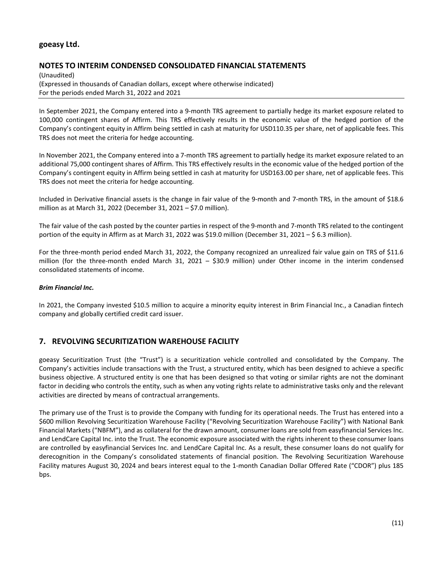# **NOTES TO INTERIM CONDENSED CONSOLIDATED FINANCIAL STATEMENTS**

(Unaudited) (Expressed in thousands of Canadian dollars, except where otherwise indicated) For the periods ended March 31, 2022 and 2021

In September 2021, the Company entered into a 9-month TRS agreement to partially hedge its market exposure related to 100,000 contingent shares of Affirm. This TRS effectively results in the economic value of the hedged portion of the Company's contingent equity in Affirm being settled in cash at maturity for USD110.35 per share, net of applicable fees. This TRS does not meet the criteria for hedge accounting.

In November 2021, the Company entered into a 7-month TRS agreement to partially hedge its market exposure related to an additional 75,000 contingent shares of Affirm. This TRS effectively results in the economic value of the hedged portion of the Company's contingent equity in Affirm being settled in cash at maturity for USD163.00 per share, net of applicable fees. This TRS does not meet the criteria for hedge accounting.

Included in Derivative financial assets is the change in fair value of the 9-month and 7-month TRS, in the amount of \$18.6 million as at March 31, 2022 (December 31, 2021 – \$7.0 million).

The fair value of the cash posted by the counter parties in respect of the 9-month and 7-month TRS related to the contingent portion of the equity in Affirm as at March 31, 2022 was \$19.0 million (December 31, 2021 – \$ 6.3 million).

For the three-month period ended March 31, 2022, the Company recognized an unrealized fair value gain on TRS of \$11.6 million (for the three-month ended March 31, 2021 – \$30.9 million) under Other income in the interim condensed consolidated statements of income.

### *Brim Financial Inc.*

In 2021, the Company invested \$10.5 million to acquire a minority equity interest in Brim Financial Inc., a Canadian fintech company and globally certified credit card issuer.

# **7. REVOLVING SECURITIZATION WAREHOUSE FACILITY**

goeasy Securitization Trust (the "Trust") is a securitization vehicle controlled and consolidated by the Company. The Company's activities include transactions with the Trust, a structured entity, which has been designed to achieve a specific business objective. A structured entity is one that has been designed so that voting or similar rights are not the dominant factor in deciding who controls the entity, such as when any voting rights relate to administrative tasks only and the relevant activities are directed by means of contractual arrangements.

The primary use of the Trust is to provide the Company with funding for its operational needs. The Trust has entered into a \$600 million Revolving Securitization Warehouse Facility ("Revolving Securitization Warehouse Facility") with National Bank Financial Markets ("NBFM"), and as collateral for the drawn amount, consumer loans are sold from easyfinancial Services Inc. and LendCare Capital Inc. into the Trust. The economic exposure associated with the rights inherent to these consumer loans are controlled by easyfinancial Services Inc. and LendCare Capital Inc. As a result, these consumer loans do not qualify for derecognition in the Company's consolidated statements of financial position. The Revolving Securitization Warehouse Facility matures August 30, 2024 and bears interest equal to the 1-month Canadian Dollar Offered Rate ("CDOR") plus 185 bps.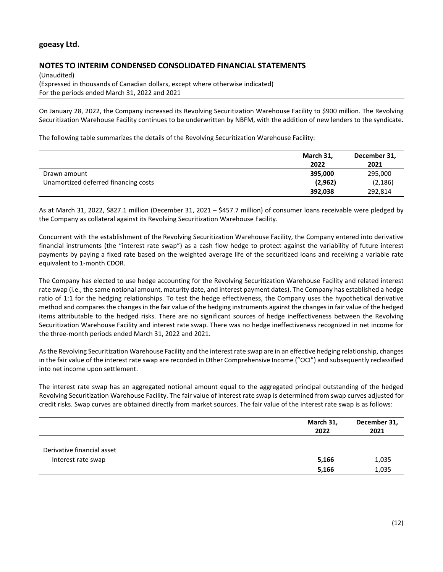### **NOTES TO INTERIM CONDENSED CONSOLIDATED FINANCIAL STATEMENTS**

(Unaudited) (Expressed in thousands of Canadian dollars, except where otherwise indicated) For the periods ended March 31, 2022 and 2021

On January 28, 2022, the Company increased its Revolving Securitization Warehouse Facility to \$900 million. The Revolving Securitization Warehouse Facility continues to be underwritten by NBFM, with the addition of new lenders to the syndicate.

The following table summarizes the details of the Revolving Securitization Warehouse Facility:

|                                      | March 31,<br>2022 | December 31,<br>2021 |
|--------------------------------------|-------------------|----------------------|
| Drawn amount                         | 395,000           | 295,000              |
| Unamortized deferred financing costs | (2,962)           | (2, 186)             |
|                                      | 392,038           | 292,814              |

As at March 31, 2022, \$827.1 million (December 31, 2021 – \$457.7 million) of consumer loans receivable were pledged by the Company as collateral against its Revolving Securitization Warehouse Facility.

Concurrent with the establishment of the Revolving Securitization Warehouse Facility, the Company entered into derivative financial instruments (the "interest rate swap") as a cash flow hedge to protect against the variability of future interest payments by paying a fixed rate based on the weighted average life of the securitized loans and receiving a variable rate equivalent to 1-month CDOR.

The Company has elected to use hedge accounting for the Revolving Securitization Warehouse Facility and related interest rate swap (i.e., the same notional amount, maturity date, and interest payment dates). The Company has established a hedge ratio of 1:1 for the hedging relationships. To test the hedge effectiveness, the Company uses the hypothetical derivative method and compares the changes in the fair value of the hedging instruments against the changes in fair value of the hedged items attributable to the hedged risks. There are no significant sources of hedge ineffectiveness between the Revolving Securitization Warehouse Facility and interest rate swap. There was no hedge ineffectiveness recognized in net income for the three-month periods ended March 31, 2022 and 2021.

As the Revolving Securitization Warehouse Facility and the interest rate swap are in an effective hedging relationship, changes in the fair value of the interest rate swap are recorded in Other Comprehensive Income ("OCI") and subsequently reclassified into net income upon settlement.

The interest rate swap has an aggregated notional amount equal to the aggregated principal outstanding of the hedged Revolving Securitization Warehouse Facility. The fair value of interest rate swap is determined from swap curves adjusted for credit risks. Swap curves are obtained directly from market sources. The fair value of the interest rate swap is as follows:

|                            | March 31,<br>2022 | December 31,<br>2021 |
|----------------------------|-------------------|----------------------|
| Derivative financial asset |                   |                      |
| Interest rate swap         | 5,166             | 1,035                |
|                            | 5,166             | 1,035                |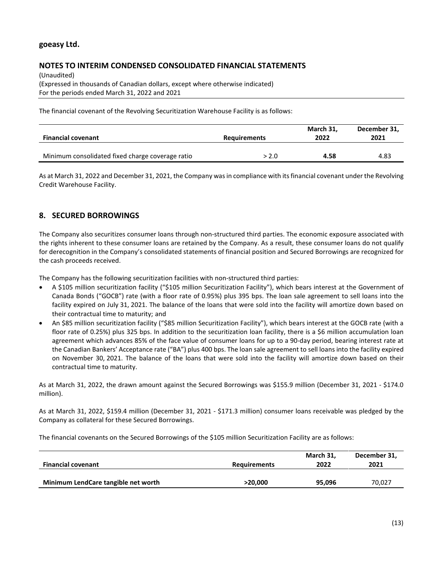# **NOTES TO INTERIM CONDENSED CONSOLIDATED FINANCIAL STATEMENTS**

(Unaudited) (Expressed in thousands of Canadian dollars, except where otherwise indicated) For the periods ended March 31, 2022 and 2021

The financial covenant of the Revolving Securitization Warehouse Facility is as follows:

| <b>Financial covenant</b>                        | <b>Requirements</b> | March 31,<br>2022 | December 31,<br>2021 |
|--------------------------------------------------|---------------------|-------------------|----------------------|
| Minimum consolidated fixed charge coverage ratio | > 2.0               | 4.58              | 4.83                 |

As at March 31, 2022 and December 31, 2021, the Company was in compliance with its financial covenant under the Revolving Credit Warehouse Facility.

# **8. SECURED BORROWINGS**

The Company also securitizes consumer loans through non-structured third parties. The economic exposure associated with the rights inherent to these consumer loans are retained by the Company. As a result, these consumer loans do not qualify for derecognition in the Company's consolidated statements of financial position and Secured Borrowings are recognized for the cash proceeds received.

The Company has the following securitization facilities with non-structured third parties:

- A \$105 million securitization facility ("\$105 million Securitization Facility"), which bears interest at the Government of Canada Bonds ("GOCB") rate (with a floor rate of 0.95%) plus 395 bps. The loan sale agreement to sell loans into the facility expired on July 31, 2021. The balance of the loans that were sold into the facility will amortize down based on their contractual time to maturity; and
- An \$85 million securitization facility ("\$85 million Securitization Facility"), which bears interest at the GOCB rate (with a floor rate of 0.25%) plus 325 bps. In addition to the securitization loan facility, there is a \$6 million accumulation loan agreement which advances 85% of the face value of consumer loans for up to a 90-day period, bearing interest rate at the Canadian Bankers' Acceptance rate ("BA") plus 400 bps. The loan sale agreement to sell loans into the facility expired on November 30, 2021. The balance of the loans that were sold into the facility will amortize down based on their contractual time to maturity.

As at March 31, 2022, the drawn amount against the Secured Borrowings was \$155.9 million (December 31, 2021 - \$174.0 million).

As at March 31, 2022, \$159.4 million (December 31, 2021 - \$171.3 million) consumer loans receivable was pledged by the Company as collateral for these Secured Borrowings.

The financial covenants on the Secured Borrowings of the \$105 million Securitization Facility are as follows:

| <b>Financial covenant</b>           | <b>Requirements</b> | March 31,<br>2022 | December 31,<br>2021 |
|-------------------------------------|---------------------|-------------------|----------------------|
| Minimum LendCare tangible net worth | >20.000             | 95.096            | 70.027               |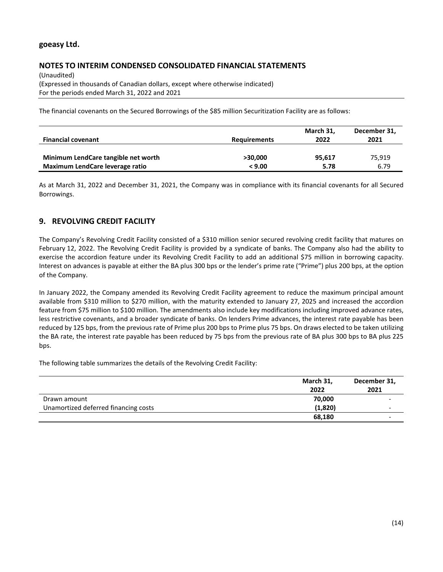# **NOTES TO INTERIM CONDENSED CONSOLIDATED FINANCIAL STATEMENTS**

(Unaudited) (Expressed in thousands of Canadian dollars, except where otherwise indicated) For the periods ended March 31, 2022 and 2021

The financial covenants on the Secured Borrowings of the \$85 million Securitization Facility are as follows:

|                                     |                     | March 31, | December 31, |
|-------------------------------------|---------------------|-----------|--------------|
| <b>Financial covenant</b>           | <b>Requirements</b> | 2022      | 2021         |
|                                     |                     |           |              |
| Minimum LendCare tangible net worth | >30.000             | 95,617    | 75,919       |
| Maximum LendCare leverage ratio     | < 9.00              | 5.78      | 6.79         |

As at March 31, 2022 and December 31, 2021, the Company was in compliance with its financial covenants for all Secured Borrowings.

# **9. REVOLVING CREDIT FACILITY**

The Company's Revolving Credit Facility consisted of a \$310 million senior secured revolving credit facility that matures on February 12, 2022. The Revolving Credit Facility is provided by a syndicate of banks. The Company also had the ability to exercise the accordion feature under its Revolving Credit Facility to add an additional \$75 million in borrowing capacity. Interest on advances is payable at either the BA plus 300 bps or the lender's prime rate ("Prime") plus 200 bps, at the option of the Company.

In January 2022, the Company amended its Revolving Credit Facility agreement to reduce the maximum principal amount available from \$310 million to \$270 million, with the maturity extended to January 27, 2025 and increased the accordion feature from \$75 million to \$100 million. The amendments also include key modifications including improved advance rates, less restrictive covenants, and a broader syndicate of banks. On lenders Prime advances, the interest rate payable has been reduced by 125 bps, from the previous rate of Prime plus 200 bps to Prime plus 75 bps. On draws elected to be taken utilizing the BA rate, the interest rate payable has been reduced by 75 bps from the previous rate of BA plus 300 bps to BA plus 225 bps.

The following table summarizes the details of the Revolving Credit Facility:

|                                      | March 31,<br>2022 | December 31,<br>2021 |
|--------------------------------------|-------------------|----------------------|
| Drawn amount                         | 70,000            |                      |
| Unamortized deferred financing costs | (1,820)           |                      |
|                                      | 68,180            |                      |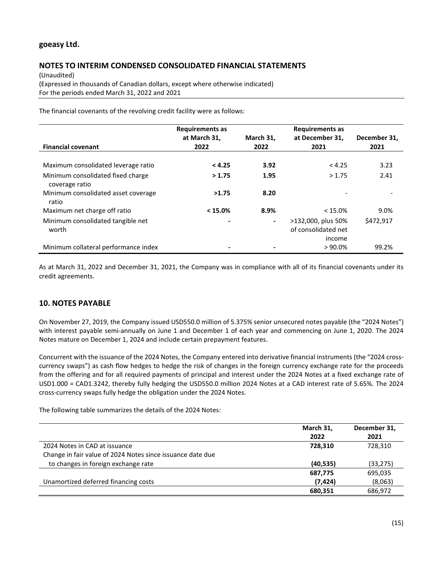# **NOTES TO INTERIM CONDENSED CONSOLIDATED FINANCIAL STATEMENTS**

(Unaudited) (Expressed in thousands of Canadian dollars, except where otherwise indicated) For the periods ended March 31, 2022 and 2021

The financial covenants of the revolving credit facility were as follows:

|                                                     | <b>Requirements as</b> |                | <b>Requirements as</b>                              |              |
|-----------------------------------------------------|------------------------|----------------|-----------------------------------------------------|--------------|
|                                                     | at March 31,           | March 31,      | at December 31,                                     | December 31, |
| <b>Financial covenant</b>                           | 2022                   | 2022           | 2021                                                | 2021         |
|                                                     |                        |                |                                                     |              |
| Maximum consolidated leverage ratio                 | < 4.25                 | 3.92           | < 4.25                                              | 3.23         |
| Minimum consolidated fixed charge<br>coverage ratio | >1.75                  | 1.95           | >1.75                                               | 2.41         |
| Minimum consolidated asset coverage<br>ratio        | >1.75                  | 8.20           |                                                     |              |
| Maximum net charge off ratio                        | < 15.0%                | 8.9%           | < 15.0%                                             | 9.0%         |
| Minimum consolidated tangible net<br>worth          |                        | $\blacksquare$ | >132,000, plus 50%<br>of consolidated net<br>income | \$472,917    |
| Minimum collateral performance index                |                        |                | $> 90.0\%$                                          | 99.2%        |

As at March 31, 2022 and December 31, 2021, the Company was in compliance with all of its financial covenants under its credit agreements.

# **10. NOTES PAYABLE**

On November 27, 2019, the Company issued USD550.0 million of 5.375% senior unsecured notes payable (the "2024 Notes") with interest payable semi-annually on June 1 and December 1 of each year and commencing on June 1, 2020. The 2024 Notes mature on December 1, 2024 and include certain prepayment features.

Concurrent with the issuance of the 2024 Notes, the Company entered into derivative financial instruments (the "2024 crosscurrency swaps") as cash flow hedges to hedge the risk of changes in the foreign currency exchange rate for the proceeds from the offering and for all required payments of principal and interest under the 2024 Notes at a fixed exchange rate of USD1.000 = CAD1.3242, thereby fully hedging the USD550.0 million 2024 Notes at a CAD interest rate of 5.65%. The 2024 cross-currency swaps fully hedge the obligation under the 2024 Notes.

The following table summarizes the details of the 2024 Notes:

| March 31, | December 31, |
|-----------|--------------|
| 2022      | 2021         |
| 728.310   | 728,310      |
|           |              |
| (40, 535) | (33, 275)    |
| 687,775   | 695,035      |
| (7, 424)  | (8,063)      |
| 680,351   | 686,972      |
|           |              |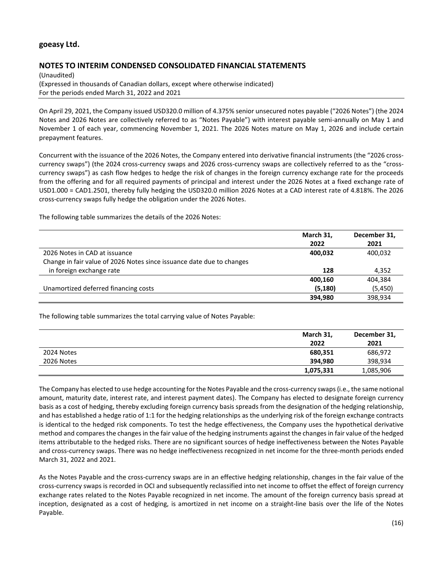# **NOTES TO INTERIM CONDENSED CONSOLIDATED FINANCIAL STATEMENTS**

(Unaudited) (Expressed in thousands of Canadian dollars, except where otherwise indicated) For the periods ended March 31, 2022 and 2021

On April 29, 2021, the Company issued USD320.0 million of 4.375% senior unsecured notes payable ("2026 Notes") (the 2024 Notes and 2026 Notes are collectively referred to as "Notes Payable") with interest payable semi-annually on May 1 and November 1 of each year, commencing November 1, 2021. The 2026 Notes mature on May 1, 2026 and include certain prepayment features.

Concurrent with the issuance of the 2026 Notes, the Company entered into derivative financial instruments (the "2026 crosscurrency swaps") (the 2024 cross-currency swaps and 2026 cross-currency swaps are collectively referred to as the "crosscurrency swaps") as cash flow hedges to hedge the risk of changes in the foreign currency exchange rate for the proceeds from the offering and for all required payments of principal and interest under the 2026 Notes at a fixed exchange rate of USD1.000 = CAD1.2501, thereby fully hedging the USD320.0 million 2026 Notes at a CAD interest rate of 4.818%. The 2026 cross-currency swaps fully hedge the obligation under the 2026 Notes.

The following table summarizes the details of the 2026 Notes:

|                                                                       | March 31, | December 31, |
|-----------------------------------------------------------------------|-----------|--------------|
|                                                                       | 2022      | 2021         |
| 2026 Notes in CAD at issuance                                         | 400,032   | 400,032      |
| Change in fair value of 2026 Notes since issuance date due to changes |           |              |
| in foreign exchange rate                                              | 128       | 4,352        |
|                                                                       | 400.160   | 404,384      |
| Unamortized deferred financing costs                                  | (5, 180)  | (5,450)      |
|                                                                       | 394.980   | 398,934      |

The following table summarizes the total carrying value of Notes Payable:

|            | March 31,<br>2022 | December 31,<br>2021 |
|------------|-------------------|----------------------|
| 2024 Notes | 680,351           | 686,972              |
| 2026 Notes | 394.980           | 398,934              |
|            | 1,075,331         | 1,085,906            |

The Company has elected to use hedge accounting for the Notes Payable and the cross-currency swaps (i.e., the same notional amount, maturity date, interest rate, and interest payment dates). The Company has elected to designate foreign currency basis as a cost of hedging, thereby excluding foreign currency basis spreads from the designation of the hedging relationship, and has established a hedge ratio of 1:1 for the hedging relationships as the underlying risk of the foreign exchange contracts is identical to the hedged risk components. To test the hedge effectiveness, the Company uses the hypothetical derivative method and compares the changes in the fair value of the hedging instruments against the changes in fair value of the hedged items attributable to the hedged risks. There are no significant sources of hedge ineffectiveness between the Notes Payable and cross-currency swaps. There was no hedge ineffectiveness recognized in net income for the three-month periods ended March 31, 2022 and 2021.

As the Notes Payable and the cross-currency swaps are in an effective hedging relationship, changes in the fair value of the cross-currency swaps is recorded in OCI and subsequently reclassified into net income to offset the effect of foreign currency exchange rates related to the Notes Payable recognized in net income. The amount of the foreign currency basis spread at inception, designated as a cost of hedging, is amortized in net income on a straight-line basis over the life of the Notes Payable.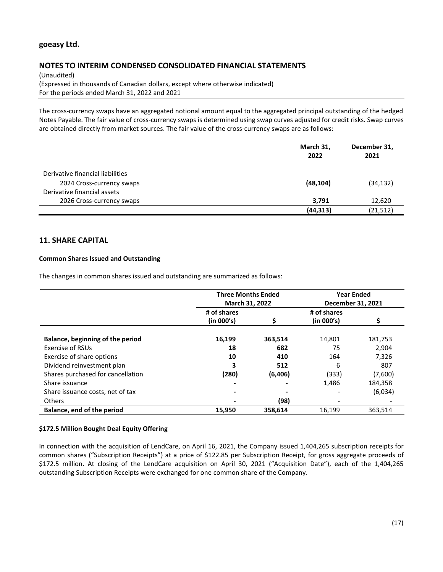# **NOTES TO INTERIM CONDENSED CONSOLIDATED FINANCIAL STATEMENTS**

(Unaudited) (Expressed in thousands of Canadian dollars, except where otherwise indicated) For the periods ended March 31, 2022 and 2021

The cross-currency swaps have an aggregated notional amount equal to the aggregated principal outstanding of the hedged Notes Payable. The fair value of cross-currency swaps is determined using swap curves adjusted for credit risks. Swap curves are obtained directly from market sources. The fair value of the cross-currency swaps are as follows:

|                                  | March 31,<br>2022 | December 31,<br>2021 |
|----------------------------------|-------------------|----------------------|
| Derivative financial liabilities |                   |                      |
| 2024 Cross-currency swaps        | (48, 104)         | (34, 132)            |
| Derivative financial assets      |                   |                      |
| 2026 Cross-currency swaps        | 3,791             | 12,620               |
|                                  | (44, 313)         | (21, 512)            |

# **11. SHARE CAPITAL**

### **Common Shares Issued and Outstanding**

The changes in common shares issued and outstanding are summarized as follows:

|                                   | <b>Three Months Ended</b><br>March 31, 2022 |         | <b>Year Ended</b><br>December 31, 2021 |         |
|-----------------------------------|---------------------------------------------|---------|----------------------------------------|---------|
|                                   | # of shares                                 |         | # of shares                            |         |
|                                   | (in 000's)                                  | Ś.      | (in 000's)                             |         |
| Balance, beginning of the period  | 16,199                                      | 363,514 | 14,801                                 | 181,753 |
| Exercise of RSUs                  | 18                                          | 682     | 75                                     | 2.904   |
| Exercise of share options         | 10                                          | 410     | 164                                    | 7,326   |
| Dividend reinvestment plan        | 3                                           | 512     | 6                                      | 807     |
| Shares purchased for cancellation | (280)                                       | (6,406) | (333)                                  | (7,600) |
| Share issuance                    |                                             |         | 1,486                                  | 184,358 |
| Share issuance costs, net of tax  |                                             |         |                                        | (6,034) |
| <b>Others</b>                     |                                             | (98)    |                                        |         |
| Balance, end of the period        | 15,950                                      | 358,614 | 16,199                                 | 363,514 |

### **\$172.5 Million Bought Deal Equity Offering**

In connection with the acquisition of LendCare, on April 16, 2021, the Company issued 1,404,265 subscription receipts for common shares ("Subscription Receipts") at a price of \$122.85 per Subscription Receipt, for gross aggregate proceeds of \$172.5 million. At closing of the LendCare acquisition on April 30, 2021 ("Acquisition Date"), each of the 1,404,265 outstanding Subscription Receipts were exchanged for one common share of the Company.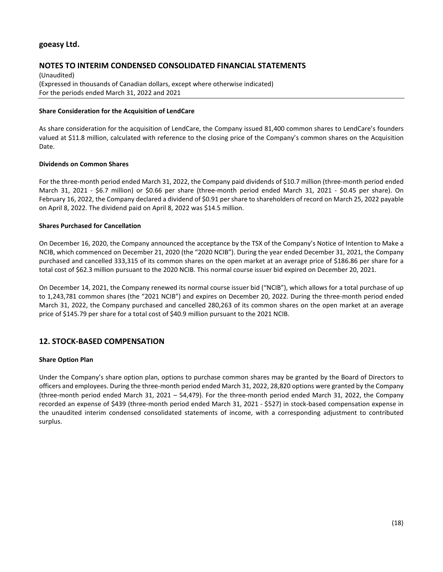# **NOTES TO INTERIM CONDENSED CONSOLIDATED FINANCIAL STATEMENTS**

(Unaudited) (Expressed in thousands of Canadian dollars, except where otherwise indicated) For the periods ended March 31, 2022 and 2021

#### **Share Consideration for the Acquisition of LendCare**

As share consideration for the acquisition of LendCare, the Company issued 81,400 common shares to LendCare's founders valued at \$11.8 million, calculated with reference to the closing price of the Company's common shares on the Acquisition Date.

#### **Dividends on Common Shares**

For the three-month period ended March 31, 2022, the Company paid dividends of \$10.7 million (three-month period ended March 31, 2021 - \$6.7 million) or \$0.66 per share (three-month period ended March 31, 2021 - \$0.45 per share). On February 16, 2022, the Company declared a dividend of \$0.91 per share to shareholders of record on March 25, 2022 payable on April 8, 2022. The dividend paid on April 8, 2022 was \$14.5 million.

### **Shares Purchased for Cancellation**

On December 16, 2020, the Company announced the acceptance by the TSX of the Company's Notice of Intention to Make a NCIB, which commenced on December 21, 2020 (the "2020 NCIB"). During the year ended December 31, 2021, the Company purchased and cancelled 333,315 of its common shares on the open market at an average price of \$186.86 per share for a total cost of \$62.3 million pursuant to the 2020 NCIB. This normal course issuer bid expired on December 20, 2021.

On December 14, 2021, the Company renewed its normal course issuer bid ("NCIB"), which allows for a total purchase of up to 1,243,781 common shares (the "2021 NCIB") and expires on December 20, 2022. During the three-month period ended March 31, 2022, the Company purchased and cancelled 280,263 of its common shares on the open market at an average price of \$145.79 per share for a total cost of \$40.9 million pursuant to the 2021 NCIB.

# **12. STOCK-BASED COMPENSATION**

### **Share Option Plan**

Under the Company's share option plan, options to purchase common shares may be granted by the Board of Directors to officers and employees. During the three-month period ended March 31, 2022, 28,820 options were granted by the Company (three-month period ended March 31, 2021 – 54,479). For the three-month period ended March 31, 2022, the Company recorded an expense of \$439 (three-month period ended March 31, 2021 - \$527) in stock-based compensation expense in the unaudited interim condensed consolidated statements of income, with a corresponding adjustment to contributed surplus.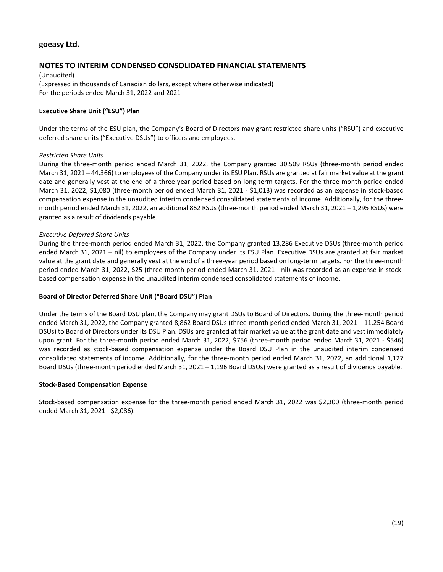# **NOTES TO INTERIM CONDENSED CONSOLIDATED FINANCIAL STATEMENTS**

(Unaudited) (Expressed in thousands of Canadian dollars, except where otherwise indicated) For the periods ended March 31, 2022 and 2021

### **Executive Share Unit ("ESU") Plan**

Under the terms of the ESU plan, the Company's Board of Directors may grant restricted share units ("RSU") and executive deferred share units ("Executive DSUs") to officers and employees.

### *Restricted Share Units*

During the three-month period ended March 31, 2022, the Company granted 30,509 RSUs (three-month period ended March 31, 2021 – 44,366) to employees of the Company under its ESU Plan. RSUs are granted at fair market value at the grant date and generally vest at the end of a three-year period based on long-term targets. For the three-month period ended March 31, 2022, \$1,080 (three-month period ended March 31, 2021 - \$1,013) was recorded as an expense in stock-based compensation expense in the unaudited interim condensed consolidated statements of income. Additionally, for the threemonth period ended March 31, 2022, an additional 862 RSUs (three-month period ended March 31, 2021 – 1,295 RSUs) were granted as a result of dividends payable.

#### *Executive Deferred Share Units*

During the three-month period ended March 31, 2022, the Company granted 13,286 Executive DSUs (three-month period ended March 31, 2021 – nil) to employees of the Company under its ESU Plan. Executive DSUs are granted at fair market value at the grant date and generally vest at the end of a three-year period based on long-term targets. For the three-month period ended March 31, 2022, \$25 (three-month period ended March 31, 2021 - nil) was recorded as an expense in stockbased compensation expense in the unaudited interim condensed consolidated statements of income.

### **Board of Director Deferred Share Unit ("Board DSU") Plan**

Under the terms of the Board DSU plan, the Company may grant DSUs to Board of Directors. During the three-month period ended March 31, 2022, the Company granted 8,862 Board DSUs (three-month period ended March 31, 2021 – 11,254 Board DSUs) to Board of Directors under its DSU Plan. DSUs are granted at fair market value at the grant date and vest immediately upon grant. For the three-month period ended March 31, 2022, \$756 (three-month period ended March 31, 2021 - \$546) was recorded as stock-based compensation expense under the Board DSU Plan in the unaudited interim condensed consolidated statements of income. Additionally, for the three-month period ended March 31, 2022, an additional 1,127 Board DSUs (three-month period ended March 31, 2021 – 1,196 Board DSUs) were granted as a result of dividends payable.

#### **Stock-Based Compensation Expense**

Stock-based compensation expense for the three-month period ended March 31, 2022 was \$2,300 (three-month period ended March 31, 2021 - \$2,086).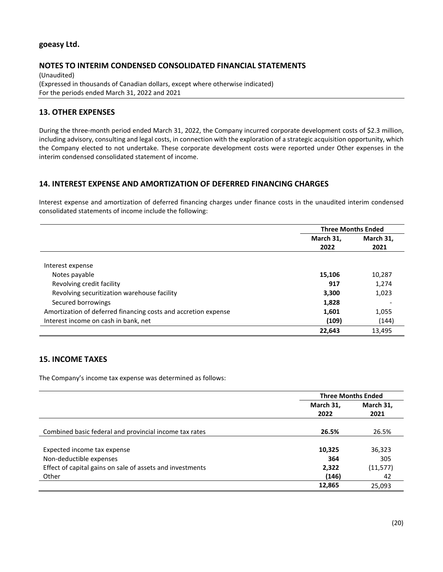# **NOTES TO INTERIM CONDENSED CONSOLIDATED FINANCIAL STATEMENTS**

(Unaudited) (Expressed in thousands of Canadian dollars, except where otherwise indicated) For the periods ended March 31, 2022 and 2021

# **13. OTHER EXPENSES**

During the three-month period ended March 31, 2022, the Company incurred corporate development costs of \$2.3 million, including advisory, consulting and legal costs, in connection with the exploration of a strategic acquisition opportunity, which the Company elected to not undertake. These corporate development costs were reported under Other expenses in the interim condensed consolidated statement of income.

# **14. INTEREST EXPENSE AND AMORTIZATION OF DEFERRED FINANCING CHARGES**

Interest expense and amortization of deferred financing charges under finance costs in the unaudited interim condensed consolidated statements of income include the following:

|                                                                | <b>Three Months Ended</b> |                   |
|----------------------------------------------------------------|---------------------------|-------------------|
|                                                                | March 31,<br>2022         | March 31.<br>2021 |
|                                                                |                           |                   |
| Interest expense                                               |                           |                   |
| Notes payable                                                  | 15,106                    | 10,287            |
| Revolving credit facility                                      | 917                       | 1.274             |
| Revolving securitization warehouse facility                    | 3,300                     | 1,023             |
| Secured borrowings                                             | 1,828                     |                   |
| Amortization of deferred financing costs and accretion expense | 1,601                     | 1,055             |
| Interest income on cash in bank, net                           | (109)                     | (144)             |
|                                                                | 22,643                    | 13,495            |

# **15. INCOME TAXES**

The Company's income tax expense was determined as follows:

|                                                           | <b>Three Months Ended</b> |           |
|-----------------------------------------------------------|---------------------------|-----------|
|                                                           | March 31,                 | March 31, |
|                                                           | 2022                      | 2021      |
|                                                           |                           |           |
| Combined basic federal and provincial income tax rates    | 26.5%                     | 26.5%     |
|                                                           |                           |           |
| Expected income tax expense                               | 10,325                    | 36,323    |
| Non-deductible expenses                                   | 364                       | 305       |
| Effect of capital gains on sale of assets and investments | 2,322                     | (11, 577) |
| Other                                                     | (146)                     | 42        |
|                                                           | 12,865                    | 25,093    |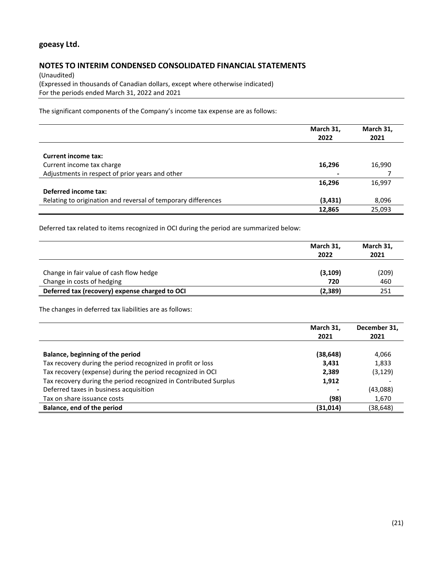# **NOTES TO INTERIM CONDENSED CONSOLIDATED FINANCIAL STATEMENTS**

(Unaudited) (Expressed in thousands of Canadian dollars, except where otherwise indicated) For the periods ended March 31, 2022 and 2021

The significant components of the Company's income tax expense are as follows:

|                                                               | March 31,<br>2022 | March 31,<br>2021 |
|---------------------------------------------------------------|-------------------|-------------------|
| <b>Current income tax:</b>                                    |                   |                   |
| Current income tax charge                                     | 16,296            | 16,990            |
| Adjustments in respect of prior years and other               |                   |                   |
|                                                               | 16,296            | 16,997            |
| Deferred income tax:                                          |                   |                   |
| Relating to origination and reversal of temporary differences | (3, 431)          | 8,096             |
|                                                               | 12,865            | 25,093            |

Deferred tax related to items recognized in OCI during the period are summarized below:

|                                                | March 31,<br>2022 | March 31,<br>2021 |
|------------------------------------------------|-------------------|-------------------|
| Change in fair value of cash flow hedge        | (3, 109)          | (209)             |
| Change in costs of hedging                     | 720               | 460               |
| Deferred tax (recovery) expense charged to OCI | (2, 389)          | 251               |

The changes in deferred tax liabilities are as follows:

|                                                                  | March 31,<br>2021 | December 31,<br>2021 |
|------------------------------------------------------------------|-------------------|----------------------|
| Balance, beginning of the period                                 | (38, 648)         | 4,066                |
| Tax recovery during the period recognized in profit or loss      | 3,431             | 1,833                |
| Tax recovery (expense) during the period recognized in OCI       | 2,389             | (3, 129)             |
| Tax recovery during the period recognized in Contributed Surplus | 1,912             |                      |
| Deferred taxes in business acquisition                           |                   | (43,088)             |
| Tax on share issuance costs                                      | (98)              | 1,670                |
| Balance, end of the period                                       | (31, 014)         | (38,648)             |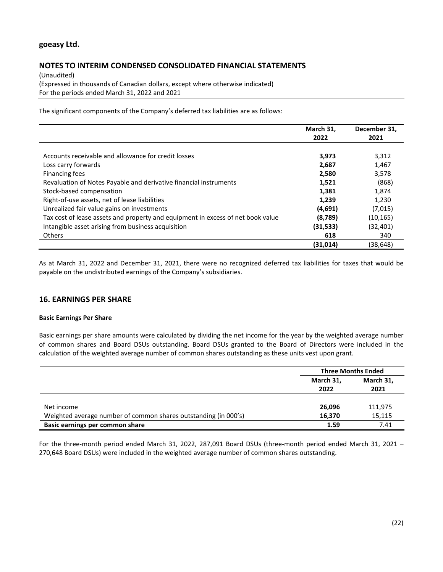# **NOTES TO INTERIM CONDENSED CONSOLIDATED FINANCIAL STATEMENTS**

(Unaudited) (Expressed in thousands of Canadian dollars, except where otherwise indicated) For the periods ended March 31, 2022 and 2021

The significant components of the Company's deferred tax liabilities are as follows:

|                                                                                 | March 31,<br>2022 | December 31,<br>2021 |
|---------------------------------------------------------------------------------|-------------------|----------------------|
|                                                                                 |                   |                      |
| Accounts receivable and allowance for credit losses                             | 3,973             | 3,312                |
| Loss carry forwards                                                             | 2,687             | 1,467                |
| Financing fees                                                                  | 2,580             | 3,578                |
| Revaluation of Notes Payable and derivative financial instruments               | 1,521             | (868)                |
| Stock-based compensation                                                        | 1,381             | 1,874                |
| Right-of-use assets, net of lease liabilities                                   | 1,239             | 1,230                |
| Unrealized fair value gains on investments                                      | (4,691)           | (7,015)              |
| Tax cost of lease assets and property and equipment in excess of net book value | (8,789)           | (10, 165)            |
| Intangible asset arising from business acquisition                              | (31, 533)         | (32, 401)            |
| <b>Others</b>                                                                   | 618               | 340                  |
|                                                                                 | (31, 014)         | (38,648)             |

As at March 31, 2022 and December 31, 2021, there were no recognized deferred tax liabilities for taxes that would be payable on the undistributed earnings of the Company's subsidiaries.

# **16. EARNINGS PER SHARE**

### **Basic Earnings Per Share**

Basic earnings per share amounts were calculated by dividing the net income for the year by the weighted average number of common shares and Board DSUs outstanding. Board DSUs granted to the Board of Directors were included in the calculation of the weighted average number of common shares outstanding as these units vest upon grant.

|                                                                 | <b>Three Months Ended</b> |                   |
|-----------------------------------------------------------------|---------------------------|-------------------|
|                                                                 | March 31,<br>2022         | March 31,<br>2021 |
| Net income                                                      | 26,096                    | 111,975           |
| Weighted average number of common shares outstanding (in 000's) | 16.370                    | 15,115            |
| Basic earnings per common share                                 | 1.59                      | 7.41              |

For the three-month period ended March 31, 2022, 287,091 Board DSUs (three-month period ended March 31, 2021 – 270,648 Board DSUs) were included in the weighted average number of common shares outstanding.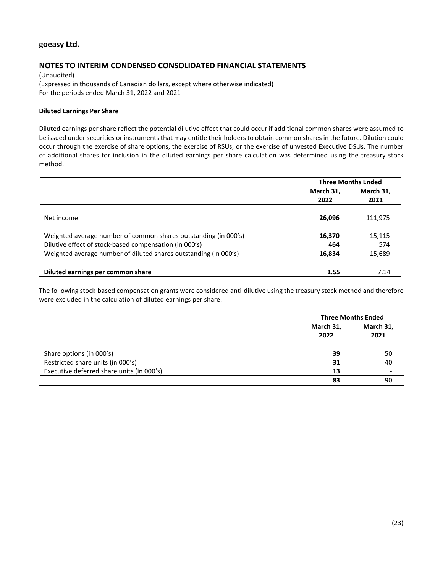# **NOTES TO INTERIM CONDENSED CONSOLIDATED FINANCIAL STATEMENTS**

(Unaudited) (Expressed in thousands of Canadian dollars, except where otherwise indicated) For the periods ended March 31, 2022 and 2021

### **Diluted Earnings Per Share**

Diluted earnings per share reflect the potential dilutive effect that could occur if additional common shares were assumed to be issued under securities or instruments that may entitle their holders to obtain common shares in the future. Dilution could occur through the exercise of share options, the exercise of RSUs, or the exercise of unvested Executive DSUs. The number of additional shares for inclusion in the diluted earnings per share calculation was determined using the treasury stock method.

|                                                                  | <b>Three Months Ended</b> |           |
|------------------------------------------------------------------|---------------------------|-----------|
|                                                                  | March 31,                 | March 31, |
|                                                                  | 2022                      | 2021      |
| Net income                                                       | 26,096                    | 111,975   |
| Weighted average number of common shares outstanding (in 000's)  | 16,370                    | 15,115    |
| Dilutive effect of stock-based compensation (in 000's)           | 464                       | 574       |
| Weighted average number of diluted shares outstanding (in 000's) | 16,834                    | 15,689    |
|                                                                  |                           |           |
| Diluted earnings per common share                                | 1.55                      | 7.14      |

The following stock-based compensation grants were considered anti-dilutive using the treasury stock method and therefore were excluded in the calculation of diluted earnings per share:

|                                           |                   | <b>Three Months Ended</b> |
|-------------------------------------------|-------------------|---------------------------|
|                                           | March 31,<br>2022 | March 31,<br>2021         |
| Share options (in 000's)                  | 39                | 50                        |
| Restricted share units (in 000's)         | 31                | 40                        |
| Executive deferred share units (in 000's) | 13                |                           |
|                                           | 83                | 90                        |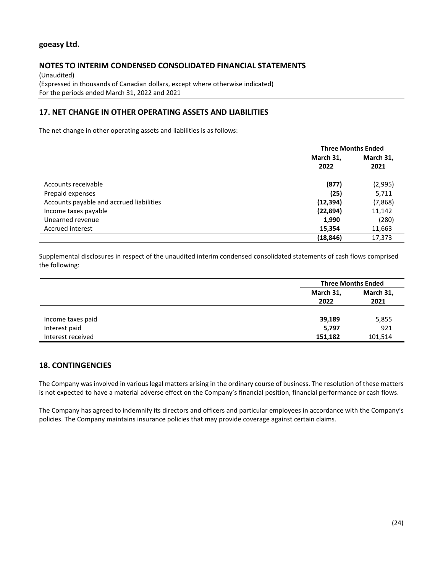# **NOTES TO INTERIM CONDENSED CONSOLIDATED FINANCIAL STATEMENTS**

(Unaudited) (Expressed in thousands of Canadian dollars, except where otherwise indicated) For the periods ended March 31, 2022 and 2021

# **17. NET CHANGE IN OTHER OPERATING ASSETS AND LIABILITIES**

The net change in other operating assets and liabilities is as follows:

|                                          | <b>Three Months Ended</b> |           |
|------------------------------------------|---------------------------|-----------|
|                                          | March 31,                 | March 31, |
|                                          | 2022                      | 2021      |
|                                          |                           |           |
| Accounts receivable                      | (877)                     | (2,995)   |
| Prepaid expenses                         | (25)                      | 5,711     |
| Accounts payable and accrued liabilities | (12, 394)                 | (7,868)   |
| Income taxes payable                     | (22, 894)                 | 11,142    |
| Unearned revenue                         | 1,990                     | (280)     |
| Accrued interest                         | 15,354                    | 11,663    |
|                                          | (18, 846)                 | 17,373    |

Supplemental disclosures in respect of the unaudited interim condensed consolidated statements of cash flows comprised the following:

|                   |                   | <b>Three Months Ended</b> |
|-------------------|-------------------|---------------------------|
|                   | March 31,<br>2022 | March 31,<br>2021         |
| Income taxes paid | 39,189            | 5,855                     |
| Interest paid     | 5,797             | 921                       |
| Interest received | 151,182           | 101,514                   |

# **18. CONTINGENCIES**

The Company was involved in various legal matters arising in the ordinary course of business. The resolution of these matters is not expected to have a material adverse effect on the Company's financial position, financial performance or cash flows.

The Company has agreed to indemnify its directors and officers and particular employees in accordance with the Company's policies. The Company maintains insurance policies that may provide coverage against certain claims.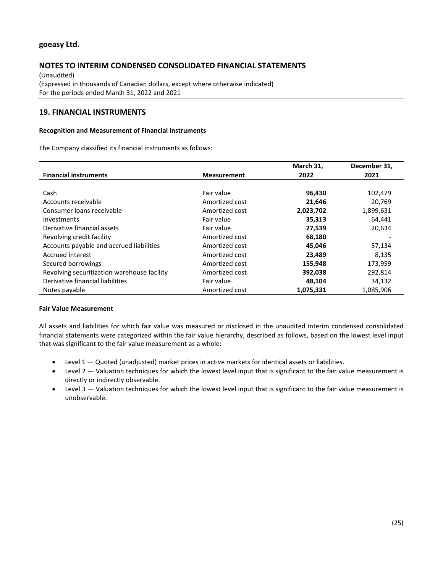# **NOTES TO INTERIM CONDENSED CONSOLIDATED FINANCIAL STATEMENTS**

(Unaudited) (Expressed in thousands of Canadian dollars, except where otherwise indicated) For the periods ended March 31, 2022 and 2021

# **19. FINANCIAL INSTRUMENTS**

#### **Recognition and Measurement of Financial Instruments**

The Company classified its financial instruments as follows:

|                                             |                    | March 31, | December 31, |
|---------------------------------------------|--------------------|-----------|--------------|
| <b>Financial instruments</b>                | <b>Measurement</b> | 2022      | 2021         |
|                                             |                    |           |              |
| Cash                                        | Fair value         | 96,430    | 102,479      |
| Accounts receivable                         | Amortized cost     | 21,646    | 20,769       |
| Consumer loans receivable                   | Amortized cost     | 2,023,702 | 1,899,631    |
| Investments                                 | Fair value         | 35,313    | 64,441       |
| Derivative financial assets                 | Fair value         | 27,539    | 20,634       |
| Revolving credit facility                   | Amortized cost     | 68,180    |              |
| Accounts payable and accrued liabilities    | Amortized cost     | 45,046    | 57,134       |
| Accrued interest                            | Amortized cost     | 23,489    | 8,135        |
| Secured borrowings                          | Amortized cost     | 155,948   | 173,959      |
| Revolving securitization warehouse facility | Amortized cost     | 392,038   | 292,814      |
| Derivative financial liabilities            | Fair value         | 48,104    | 34,132       |
| Notes payable                               | Amortized cost     | 1,075,331 | 1,085,906    |

#### **Fair Value Measurement**

All assets and liabilities for which fair value was measured or disclosed in the unaudited interim condensed consolidated financial statements were categorized within the fair value hierarchy, described as follows, based on the lowest level input that was significant to the fair value measurement as a whole:

- Level 1 Quoted (unadjusted) market prices in active markets for identical assets or liabilities.
- Level 2 Valuation techniques for which the lowest level input that is significant to the fair value measurement is directly or indirectly observable.
- Level 3 Valuation techniques for which the lowest level input that is significant to the fair value measurement is unobservable.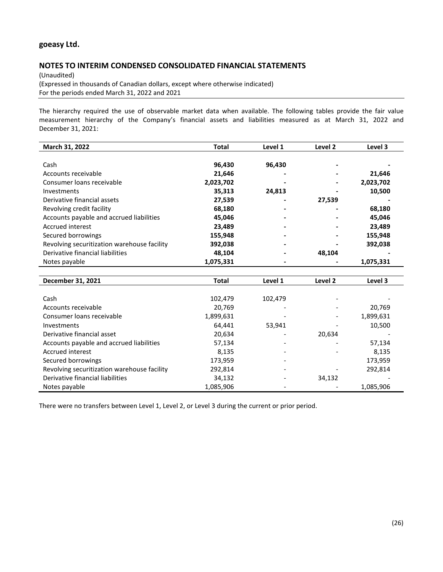### **NOTES TO INTERIM CONDENSED CONSOLIDATED FINANCIAL STATEMENTS**

(Unaudited) (Expressed in thousands of Canadian dollars, except where otherwise indicated) For the periods ended March 31, 2022 and 2021

The hierarchy required the use of observable market data when available. The following tables provide the fair value measurement hierarchy of the Company's financial assets and liabilities measured as at March 31, 2022 and December 31, 2021:

| March 31, 2022                              | Total     | Level 1 | Level 2 | Level 3   |
|---------------------------------------------|-----------|---------|---------|-----------|
|                                             |           |         |         |           |
| Cash                                        | 96,430    | 96,430  |         |           |
| Accounts receivable                         | 21,646    | -       |         | 21,646    |
| Consumer loans receivable                   | 2,023,702 |         |         | 2,023,702 |
| <b>Investments</b>                          | 35,313    | 24,813  |         | 10,500    |
| Derivative financial assets                 | 27,539    |         | 27,539  |           |
| Revolving credit facility                   | 68,180    |         |         | 68,180    |
| Accounts payable and accrued liabilities    | 45,046    |         |         | 45,046    |
| Accrued interest                            | 23,489    |         |         | 23,489    |
| Secured borrowings                          | 155,948   |         |         | 155,948   |
| Revolving securitization warehouse facility | 392,038   |         |         | 392,038   |
| Derivative financial liabilities            | 48,104    |         | 48.104  |           |
| Notes payable                               | 1,075,331 |         |         | 1,075,331 |
|                                             |           |         |         |           |
| December 31, 2021                           | Total     | Level 1 | Level 2 | Level 3   |

| Cash                                        | 102,479   | 102,479 |        |           |
|---------------------------------------------|-----------|---------|--------|-----------|
| Accounts receivable                         | 20,769    |         |        | 20,769    |
| Consumer loans receivable                   | 1,899,631 |         |        | 1,899,631 |
| Investments                                 | 64,441    | 53,941  |        | 10,500    |
| Derivative financial asset                  | 20,634    |         | 20.634 |           |
| Accounts payable and accrued liabilities    | 57,134    |         |        | 57,134    |
| Accrued interest                            | 8,135     |         |        | 8,135     |
| Secured borrowings                          | 173,959   |         |        | 173,959   |
| Revolving securitization warehouse facility | 292,814   |         |        | 292,814   |
| Derivative financial liabilities            | 34,132    |         | 34,132 |           |
| Notes payable                               | 1,085,906 |         |        | 1,085,906 |

There were no transfers between Level 1, Level 2, or Level 3 during the current or prior period.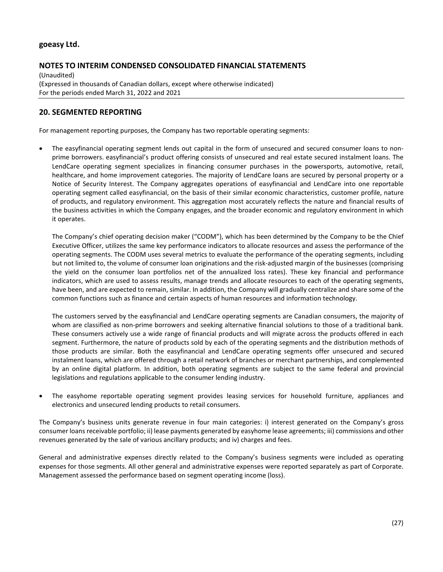# **NOTES TO INTERIM CONDENSED CONSOLIDATED FINANCIAL STATEMENTS**

(Unaudited) (Expressed in thousands of Canadian dollars, except where otherwise indicated) For the periods ended March 31, 2022 and 2021

# **20. SEGMENTED REPORTING**

For management reporting purposes, the Company has two reportable operating segments:

• The easyfinancial operating segment lends out capital in the form of unsecured and secured consumer loans to nonprime borrowers. easyfinancial's product offering consists of unsecured and real estate secured instalment loans. The LendCare operating segment specializes in financing consumer purchases in the powersports, automotive, retail, healthcare, and home improvement categories. The majority of LendCare loans are secured by personal property or a Notice of Security Interest. The Company aggregates operations of easyfinancial and LendCare into one reportable operating segment called easyfinancial, on the basis of their similar economic characteristics, customer profile, nature of products, and regulatory environment. This aggregation most accurately reflects the nature and financial results of the business activities in which the Company engages, and the broader economic and regulatory environment in which it operates.

The Company's chief operating decision maker ("CODM"), which has been determined by the Company to be the Chief Executive Officer, utilizes the same key performance indicators to allocate resources and assess the performance of the operating segments. The CODM uses several metrics to evaluate the performance of the operating segments, including but not limited to, the volume of consumer loan originations and the risk-adjusted margin of the businesses (comprising the yield on the consumer loan portfolios net of the annualized loss rates). These key financial and performance indicators, which are used to assess results, manage trends and allocate resources to each of the operating segments, have been, and are expected to remain, similar. In addition, the Company will gradually centralize and share some of the common functions such as finance and certain aspects of human resources and information technology.

The customers served by the easyfinancial and LendCare operating segments are Canadian consumers, the majority of whom are classified as non-prime borrowers and seeking alternative financial solutions to those of a traditional bank. These consumers actively use a wide range of financial products and will migrate across the products offered in each segment. Furthermore, the nature of products sold by each of the operating segments and the distribution methods of those products are similar. Both the easyfinancial and LendCare operating segments offer unsecured and secured instalment loans, which are offered through a retail network of branches or merchant partnerships, and complemented by an online digital platform. In addition, both operating segments are subject to the same federal and provincial legislations and regulations applicable to the consumer lending industry.

• The easyhome reportable operating segment provides leasing services for household furniture, appliances and electronics and unsecured lending products to retail consumers.

The Company's business units generate revenue in four main categories: i) interest generated on the Company's gross consumer loans receivable portfolio; ii) lease payments generated by easyhome lease agreements; iii) commissions and other revenues generated by the sale of various ancillary products; and iv) charges and fees.

General and administrative expenses directly related to the Company's business segments were included as operating expenses for those segments. All other general and administrative expenses were reported separately as part of Corporate. Management assessed the performance based on segment operating income (loss).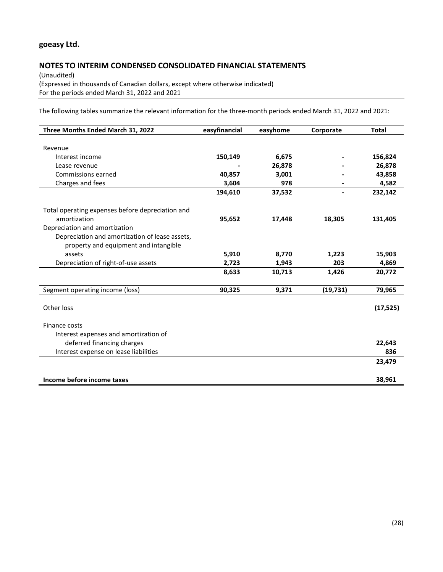# **NOTES TO INTERIM CONDENSED CONSOLIDATED FINANCIAL STATEMENTS**

(Unaudited) (Expressed in thousands of Canadian dollars, except where otherwise indicated) For the periods ended March 31, 2022 and 2021

The following tables summarize the relevant information for the three-month periods ended March 31, 2022 and 2021:

| Three Months Ended March 31, 2022                | easyfinancial | easyhome | Corporate | <b>Total</b> |
|--------------------------------------------------|---------------|----------|-----------|--------------|
|                                                  |               |          |           |              |
| Revenue                                          |               |          |           |              |
| Interest income                                  | 150,149       | 6,675    |           | 156,824      |
| Lease revenue                                    |               | 26,878   |           | 26,878       |
| Commissions earned                               | 40,857        | 3,001    |           | 43,858       |
| Charges and fees                                 | 3,604         | 978      |           | 4,582        |
|                                                  | 194,610       | 37,532   | -         | 232,142      |
| Total operating expenses before depreciation and |               |          |           |              |
| amortization                                     | 95,652        | 17,448   | 18,305    | 131,405      |
| Depreciation and amortization                    |               |          |           |              |
| Depreciation and amortization of lease assets,   |               |          |           |              |
| property and equipment and intangible            |               |          |           |              |
| assets                                           | 5,910         | 8,770    | 1,223     | 15,903       |
| Depreciation of right-of-use assets              | 2,723         | 1,943    | 203       | 4,869        |
|                                                  | 8,633         | 10,713   | 1,426     | 20,772       |
| Segment operating income (loss)                  | 90,325        | 9,371    | (19, 731) | 79,965       |
| Other loss                                       |               |          |           | (17, 525)    |
| Finance costs                                    |               |          |           |              |
| Interest expenses and amortization of            |               |          |           |              |
| deferred financing charges                       |               |          |           | 22,643       |
| Interest expense on lease liabilities            |               |          |           | 836          |
|                                                  |               |          |           | 23,479       |
|                                                  |               |          |           |              |
| Income before income taxes                       |               |          |           | 38,961       |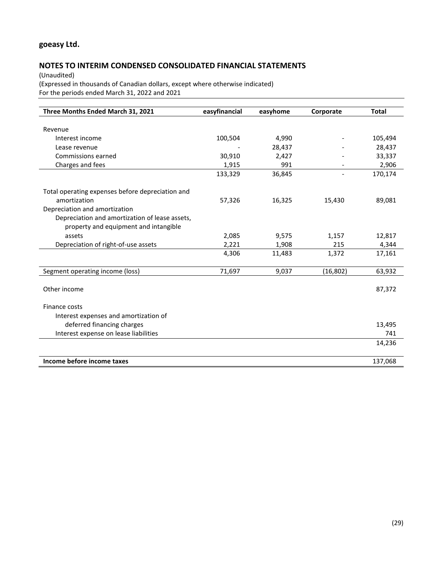# **NOTES TO INTERIM CONDENSED CONSOLIDATED FINANCIAL STATEMENTS**

(Unaudited) (Expressed in thousands of Canadian dollars, except where otherwise indicated) For the periods ended March 31, 2022 and 2021

| Three Months Ended March 31, 2021                | easyfinancial | easyhome | Corporate                | <b>Total</b> |
|--------------------------------------------------|---------------|----------|--------------------------|--------------|
|                                                  |               |          |                          |              |
| Revenue                                          |               |          |                          |              |
| Interest income                                  | 100,504       | 4,990    |                          | 105,494      |
| Lease revenue                                    |               | 28,437   |                          | 28,437       |
| Commissions earned                               | 30,910        | 2,427    |                          | 33,337       |
| Charges and fees                                 | 1,915         | 991      |                          | 2,906        |
|                                                  | 133,329       | 36,845   | $\overline{\phantom{a}}$ | 170,174      |
| Total operating expenses before depreciation and |               |          |                          |              |
| amortization                                     | 57,326        | 16,325   | 15,430                   | 89,081       |
| Depreciation and amortization                    |               |          |                          |              |
| Depreciation and amortization of lease assets,   |               |          |                          |              |
| property and equipment and intangible            |               |          |                          |              |
| assets                                           | 2,085         | 9,575    | 1,157                    | 12,817       |
| Depreciation of right-of-use assets              | 2,221         | 1,908    | 215                      | 4,344        |
|                                                  | 4,306         | 11,483   | 1,372                    | 17,161       |
| Segment operating income (loss)                  | 71,697        | 9,037    | (16, 802)                | 63,932       |
|                                                  |               |          |                          |              |
| Other income                                     |               |          |                          | 87,372       |
| Finance costs                                    |               |          |                          |              |
| Interest expenses and amortization of            |               |          |                          |              |
| deferred financing charges                       |               |          |                          | 13,495       |
| Interest expense on lease liabilities            |               |          |                          | 741          |
|                                                  |               |          |                          | 14,236       |
|                                                  |               |          |                          |              |
| Income before income taxes                       |               |          |                          | 137,068      |